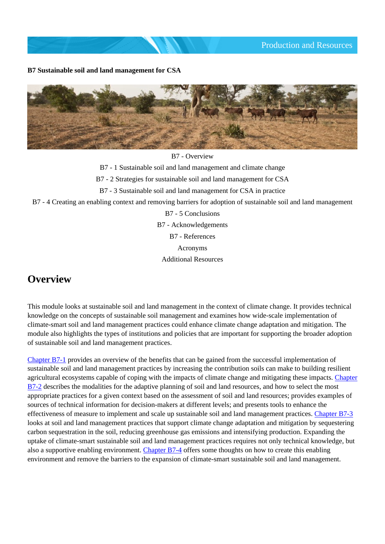**B7 Sustainable soil and land management for CSA**



B7 - Overview

B7 - 1 Sustainable soil and land management and climate change

B7 - 2 Strategies for sustainable soil and land management for CSA

B7 - 3 Sustainable soil and land management for CSA in practice

B7 - 4 Creating an enabling context and removing barriers for adoption of sustainable soil and land management

B7 - 5 Conclusions B7 - Acknowledgements B7 - References Acronyms Additional Resources

# **Overview**

This module looks at sustainable soil and land management in the context of climate change. It provides technical knowledge on the concepts of sustainable soil management and examines how wide-scale implementation of climate-smart soil and land management practices could enhance climate change adaptation and mitigation. The module also highlights the types of institutions and policies that are important for supporting the broader adoption of sustainable soil and land management practices.

[Chapter B7-1](http://www.fao.org/climate-smart-agriculture-sourcebook/production-resources/module-b7-soil/chapter-b7-1/en/) provides an overview of the benefits that can be gained from the successful implementation of sustainable soil and land management practices by increasing the contribution soils can make to building resilient agricultural ecosystems capable of coping with the impacts of climate change and mitigating these impacts. [Chapter](http://www.fao.org/climate-smart-agriculture-sourcebook/production-resources/module-b7-soil/chapter-b7-2/en/) [B7-2](http://www.fao.org/climate-smart-agriculture-sourcebook/production-resources/module-b7-soil/chapter-b7-2/en/) describes the modalities for the adaptive planning of soil and land resources, and how to select the most appropriate practices for a given context based on the assessment of soil and land resources; provides examples of sources of technical information for decision-makers at different levels; and presents tools to enhance the effectiveness of measure to implement and scale up sustainable soil and land management practices. [Chapter B7-3](http://www.fao.org/climate-smart-agriculture-sourcebook/production-resources/module-b7-soil/chapter-b7-3/en/) looks at soil and land management practices that support climate change adaptation and mitigation by sequestering carbon sequestration in the soil, reducing greenhouse gas emissions and intensifying production. Expanding the uptake of climate-smart sustainable soil and land management practices requires not only technical knowledge, but also a supportive enabling environment. [Chapter B7-4](http://www.fao.org/climate-smart-agriculture-sourcebook/production-resources/module-b7-soil/chapter-b7-4/en/) offers some thoughts on how to create this enabling environment and remove the barriers to the expansion of climate-smart sustainable soil and land management.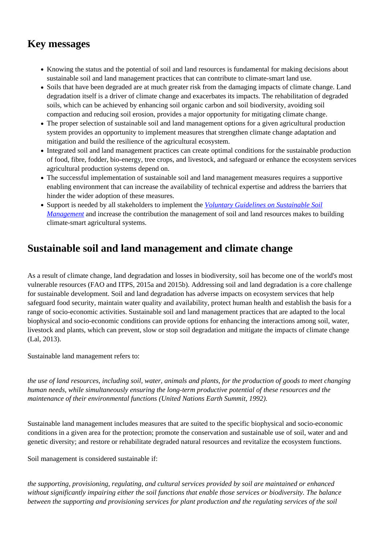# **Key messages**

- Knowing the status and the potential of soil and land resources is fundamental for making decisions about sustainable soil and land management practices that can contribute to climate-smart land use.
- Soils that have been degraded are at much greater risk from the damaging impacts of climate change. Land degradation itself is a driver of climate change and exacerbates its impacts. The rehabilitation of degraded soils, which can be achieved by enhancing soil organic carbon and soil biodiversity, avoiding soil compaction and reducing soil erosion, provides a major opportunity for mitigating climate change.
- The proper selection of sustainable soil and land management options for a given agricultural production system provides an opportunity to implement measures that strengthen climate change adaptation and mitigation and build the resilience of the agricultural ecosystem.
- Integrated soil and land management practices can create optimal conditions for the sustainable production of food, fibre, fodder, bio-energy, tree crops, and livestock, and safeguard or enhance the ecosystem services agricultural production systems depend on.
- The successful implementation of sustainable soil and land management measures requires a supportive enabling environment that can increase the availability of technical expertise and address the barriers that hinder the wider adoption of these measures.
- Support is needed by all stakeholders to implement the *[Voluntary Guidelines on Sustainable Soil](http://www.fao.org/documents/card/en/c/0549ec19-2d49-4cfb-9b96-bfbbc7cc40bc/) [Management](http://www.fao.org/documents/card/en/c/0549ec19-2d49-4cfb-9b96-bfbbc7cc40bc/)* and increase the contribution the management of soil and land resources makes to building climate-smart agricultural systems.

# **Sustainable soil and land management and climate change**

As a result of climate change, land degradation and losses in biodiversity, soil has become one of the world's most vulnerable resources (FAO and ITPS, 2015a and 2015b). Addressing soil and land degradation is a core challenge for sustainable development. Soil and land degradation has adverse impacts on ecosystem services that help safeguard food security, maintain water quality and availability, protect human health and establish the basis for a range of socio-economic activities. Sustainable soil and land management practices that are adapted to the local biophysical and socio-economic conditions can provide options for enhancing the interactions among soil, water, livestock and plants, which can prevent, slow or stop soil degradation and mitigate the impacts of climate change (Lal, 2013).

Sustainable land management refers to:

*the use of land resources, including soil, water, animals and plants, for the production of goods to meet changing human needs, while simultaneously ensuring the long-term productive potential of these resources and the maintenance of their environmental functions (United Nations Earth Summit, 1992).* 

Sustainable land management includes measures that are suited to the specific biophysical and socio-economic conditions in a given area for the protection; promote the conservation and sustainable use of soil, water and and genetic diversity; and restore or rehabilitate degraded natural resources and revitalize the ecosystem functions.

Soil management is considered sustainable if:

*the supporting, provisioning, regulating, and cultural services provided by soil are maintained or enhanced without significantly impairing either the soil functions that enable those services or biodiversity. The balance between the supporting and provisioning services for plant production and the regulating services of the soil*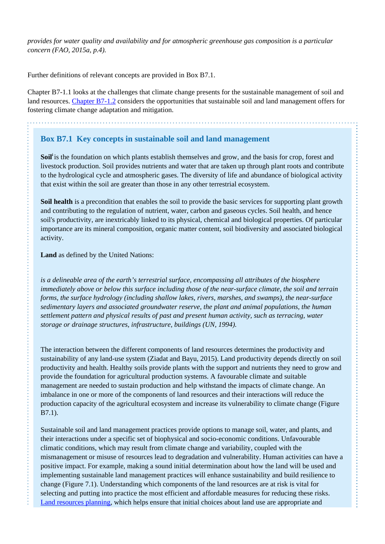*provides for water quality and availability and for atmospheric greenhouse gas composition is a particular concern (FAO, 2015a, p.4).* 

Further definitions of relevant concepts are provided in Box B7.1.

Chapter B7-1.1 looks at the challenges that climate change presents for the sustainable management of soil and land resources. [Chapter B7-1.2](http://www.fao.org/climate-smart-agriculture-sourcebook/production-resources/module-b7-soil/chapter-b7-1/en/#c417440) considers the opportunities that sustainable soil and land management offers for fostering climate change adaptation and mitigation.

### **Box B7.1 Key concepts in sustainable soil and land management**

**Soil<sup>i</sup>**is the foundation on which plants establish themselves and grow, and the basis for crop, forest and livestock production. Soil provides nutrients and water that are taken up through plant roots and contribute to the hydrological cycle and atmospheric gases. The diversity of life and abundance of biological activity that exist within the soil are greater than those in any other terrestrial ecosystem.

**Soil health** is a precondition that enables the soil to provide the basic services for supporting plant growth and contributing to the regulation of nutrient, water, carbon and gaseous cycles. Soil health, and hence soil's productivity, are inextricably linked to its physical, chemical and biological properties. Of particular importance are its mineral composition, organic matter content, soil biodiversity and associated biological activity.

**Land** as defined by the United Nations:

*is a delineable area of the earth's terrestrial surface, encompassing all attributes of the biosphere immediately above or below this surface including those of the near-surface climate, the soil and terrain forms, the surface hydrology (including shallow lakes, rivers, marshes, and swamps), the near-surface sedimentary layers and associated groundwater reserve, the plant and animal populations, the human settlement pattern and physical results of past and present human activity, such as terracing, water storage or drainage structures, infrastructure, buildings (UN, 1994).*

The interaction between the different components of land resources determines the productivity and sustainability of any land-use system (Ziadat and Bayu, 2015). Land productivity depends directly on soil productivity and health. Healthy soils provide plants with the support and nutrients they need to grow and provide the foundation for agricultural production systems. A favourable climate and suitable management are needed to sustain production and help withstand the impacts of climate change. An imbalance in one or more of the components of land resources and their interactions will reduce the production capacity of the agricultural ecosystem and increase its vulnerability to climate change (Figure B7.1).

Sustainable soil and land management practices provide options to manage soil, water, and plants, and their interactions under a specific set of biophysical and socio-economic conditions. Unfavourable climatic conditions, which may result from climate change and variability, coupled with the mismanagement or misuse of resources lead to degradation and vulnerability. Human activities can have a positive impact. For example, making a sound initial determination about how the land will be used and implementing sustainable land management practices will enhance sustainability and build resilience to change (Figure 7.1). Understanding which components of the land resources are at risk is vital for selecting and putting into practice the most efficient and affordable measures for reducing these risks. [Land resources planning,](http://www.fao.org/climate-smart-agriculture-sourcebook/concept/module-a3-landscapes/a3-overview/en/) which helps ensure that initial choices about land use are appropriate and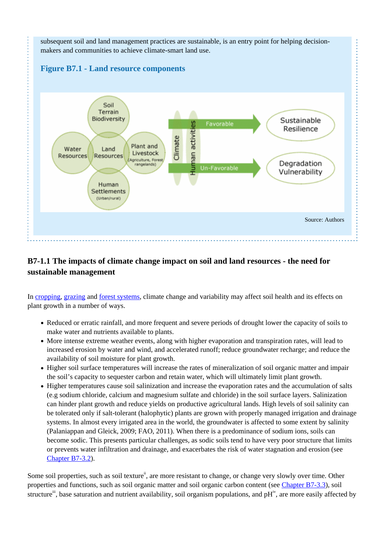

# **B7-1.1 The impacts of climate change impact on soil and land resources - the need for sustainable management**

In [cropping,](http://www.fao.org/climate-smart-agriculture-sourcebook/production-resources/module-b1-crops/b1-overview/en/) [grazing](http://www.fao.org/climate-smart-agriculture-sourcebook/production-resources/module-b2-livestock/b2-overview/en/) and [forest systems](http://www.fao.org/climate-smart-agriculture-sourcebook/production-resources/module-b3-forestry/b3-overview/en/), climate change and variability may affect soil health and its effects on plant growth in a number of ways.

- Reduced or erratic rainfall, and more frequent and severe periods of drought lower the capacity of soils to make water and nutrients available to plants.
- More intense extreme weather events, along with higher evaporation and transpiration rates, will lead to increased erosion by water and wind, and accelerated runoff; reduce groundwater recharge; and reduce the availability of soil moisture for plant growth.
- Higher soil surface temperatures will increase the rates of mineralization of soil organic matter and impair the soil's capacity to sequester carbon and retain water, which will ultimately limit plant growth.
- Higher temperatures cause soil salinization and increase the evaporation rates and the accumulation of salts (e.g sodium chloride, calcium and magnesium sulfate and chloride) in the soil surface layers. Salinization can hinder plant growth and reduce yields on productive agricultural lands. High levels of soil salinity can be tolerated only if salt-tolerant (halophytic) plants are grown with properly managed irrigation and drainage systems. In almost every irrigated area in the world, the groundwater is affected to some extent by salinity (Palaniappan and Gleick, 2009; FAO, 2011). When there is a predominance of sodium ions, soils can become sodic. This presents particular challenges, as sodic soils tend to have very poor structure that limits or prevents water infiltration and drainage, and exacerbates the risk of water stagnation and erosion (see [Chapter B7-3.2](http://www.fao.org/climate-smart-agriculture-sourcebook/production-resources/module-b7-soil/chapter-b7-3/en/#c417195)).

Some soil properties, such as soil texture<sup>ii</sup>, are more resistant to change, or change very slowly over time. Other properties and functions, such as soil organic matter and soil organic carbon content (see [Chapter B7-3.3\)](http://www.fao.org/climate-smart-agriculture-sourcebook/production-resources/module-b7-soil/chapter-b7-3/en/#c503422), soil structure<sup>iii</sup>, base saturation and nutrient availability, soil organism populations, and pH<sup>iv</sup>, are more easily affected by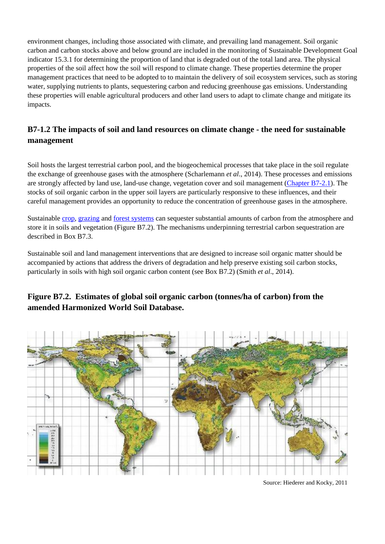environment changes, including those associated with climate, and prevailing land management. Soil organic carbon and carbon stocks above and below ground are included in the monitoring of Sustainable Development Goal indicator 15.3.1 for determining the proportion of land that is degraded out of the total land area. The physical properties of the soil affect how the soil will respond to climate change. These properties determine the proper management practices that need to be adopted to to maintain the delivery of soil ecosystem services, such as storing water, supplying nutrients to plants, sequestering carbon and reducing greenhouse gas emissions. Understanding these properties will enable agricultural producers and other land users to adapt to climate change and mitigate its impacts.

# **B7-1.2 The impacts of soil and land resources on climate change - the need for sustainable management**

Soil hosts the largest terrestrial carbon pool, and the biogeochemical processes that take place in the soil regulate the exchange of greenhouse gases with the atmosphere (Scharlemann *et al*., 2014). These processes and emissions are strongly affected by land use, land-use change, vegetation cover and soil management ([Chapter B7-2.1](http://www.fao.org/climate-smart-agriculture-sourcebook/production-resources/module-b7-soil/chapter-b7-2/en/#c549049)). The stocks of soil organic carbon in the upper soil layers are particularly responsive to these influences, and their careful management provides an opportunity to reduce the concentration of greenhouse gases in the atmosphere.

Sustainable [crop,](http://www.fao.org/climate-smart-agriculture-sourcebook/production-resources/module-b1-crops/b1-overview/en/) [grazing](http://www.fao.org/climate-smart-agriculture-sourcebook/production-resources/module-b2-livestock/b2-overview/en/) and [forest systems](http://www.fao.org/climate-smart-agriculture-sourcebook/production-resources/module-b3-forestry/b3-overview/en/) can sequester substantial amounts of carbon from the atmosphere and store it in soils and vegetation (Figure B7.2). The mechanisms underpinning terrestrial carbon sequestration are described in Box B7.3.

Sustainable soil and land management interventions that are designed to increase soil organic matter should be accompanied by actions that address the drivers of degradation and help preserve existing soil carbon stocks, particularly in soils with high soil organic carbon content (see Box B7.2) (Smith *et al*., 2014).

## **Figure B7.2. Estimates of global soil organic carbon (tonnes/ha of carbon) from the amended Harmonized World Soil Database.**



Source: Hiederer and Kocky, 2011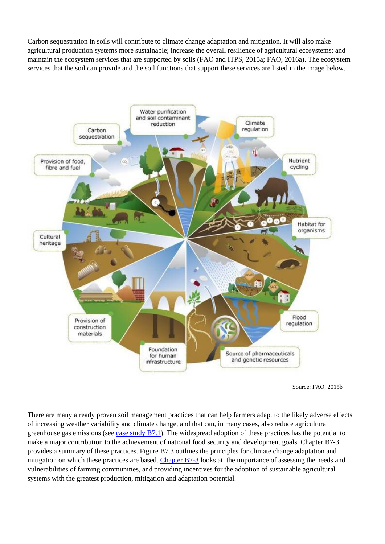Carbon sequestration in soils will contribute to climate change adaptation and mitigation. It will also make agricultural production systems more sustainable; increase the overall resilience of agricultural ecosystems; and maintain the ecosystem services that are supported by soils (FAO and ITPS, 2015a; FAO, 2016a). The ecosystem services that the soil can provide and the soil functions that support these services are listed in the image below.



Source: FAO, 2015b

There are many already proven soil management practices that can help farmers adapt to the likely adverse effects of increasing weather variability and climate change, and that can, in many cases, also reduce agricultural greenhouse gas emissions (see case study  $B7.1$ ). The widespread adoption of these practices has the potential to make a major contribution to the achievement of national food security and development goals. Chapter B7-3 provides a summary of these practices. Figure B7.3 outlines the principles for climate change adaptation and mitigation on which these practices are based. [Chapter B7-3](http://www.fao.org/climate-smart-agriculture-sourcebook/production-resources/module-b7-soil/chapter-b7-3/en/) looks at the importance of assessing the needs and vulnerabilities of farming communities, and providing incentives for the adoption of sustainable agricultural systems with the greatest production, mitigation and adaptation potential.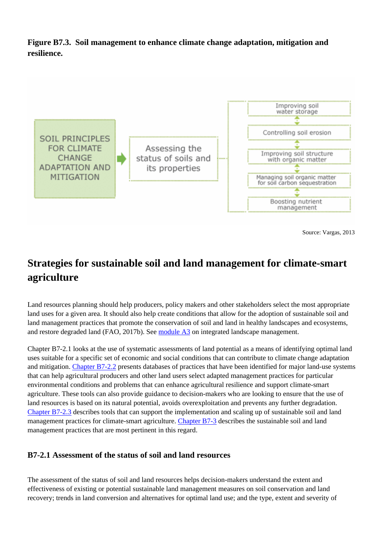**Figure B7.3. Soil management to enhance climate change adaptation, mitigation and resilience.**



Source: Vargas, 2013

# **Strategies for sustainable soil and land management for climate-smart agriculture**

Land resources planning should help producers, policy makers and other stakeholders select the most appropriate land uses for a given area. It should also help create conditions that allow for the adoption of sustainable soil and land management practices that promote the conservation of soil and land in healthy landscapes and ecosystems, and restore degraded land (FAO, 2017b). See [module A3](http://www.fao.org/climate-smart-agriculture-sourcebook/concept/module-a3-landscapes/a3-overview/en/) on integrated landscape management.

Chapter B7-2.1 looks at the use of systematic assessments of land potential as a means of identifying optimal land uses suitable for a specific set of economic and social conditions that can contribute to climate change adaptation and mitigation. [Chapter B7-2.2](http://www.fao.org/climate-smart-agriculture-sourcebook/production-resources/module-b7-soil/chapter-b7-2/en/#c549053) presents databases of practices that have been identified for major land-use systems that can help agricultural producers and other land users select adapted management practices for particular environmental conditions and problems that can enhance agricultural resilience and support climate-smart agriculture. These tools can also provide guidance to decision-makers who are looking to ensure that the use of land resources is based on its natural potential, avoids overexploitation and prevents any further degradation. [Chapter B7-2.3](http://www.fao.org/climate-smart-agriculture-sourcebook/production-resources/module-b7-soil/chapter-b7-2/en/#c549054) describes tools that can support the implementation and scaling up of sustainable soil and land management practices for climate-smart agriculture. [Chapter B7-3](http://www.fao.org/climate-smart-agriculture-sourcebook/production-resources/module-b7-soil/chapter-b7-3/en/) describes the sustainable soil and land management practices that are most pertinent in this regard.

#### **B7-2.1 Assessment of the status of soil and land resources**

The assessment of the status of soil and land resources helps decision-makers understand the extent and effectiveness of existing or potential sustainable land management measures on soil conservation and land recovery; trends in land conversion and alternatives for optimal land use; and the type, extent and severity of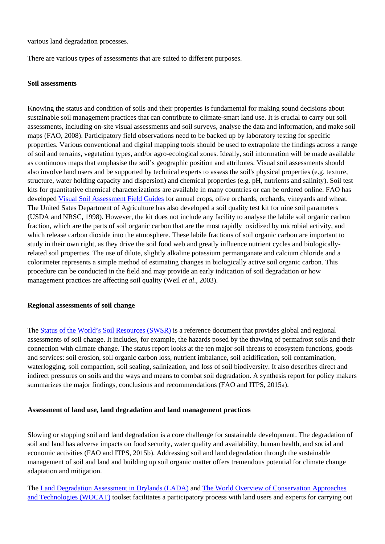various land degradation processes.

There are various types of assessments that are suited to different purposes.

#### **Soil assessments**

Knowing the status and condition of soils and their properties is fundamental for making sound decisions about sustainable soil management practices that can contribute to climate-smart land use. It is crucial to carry out soil assessments, including on-site visual assessments and soil surveys, analyse the data and information, and make soil maps (FAO, 2008). Participatory field observations need to be backed up by laboratory testing for specific properties. Various conventional and digital mapping tools should be used to extrapolate the findings across a range of soil and terrains, vegetation types, and/or agro-ecological zones. Ideally, soil information will be made available as continuous maps that emphasise the soil's geographic position and attributes. Visual soil assessments should also involve land users and be supported by technical experts to assess the soil's physical properties (e.g. texture, structure, water holding capacity and dispersion) and chemical properties (e.g. pH, nutrients and salinity). Soil test kits for quantitative chemical characterizations are available in many countries or can be ordered online. FAO has developed [Visual Soil Assessment Field Guides](http://www.fao.org/docrep/010/i0007e/i0007e00.htm) for annual crops, olive orchards, orchards, vineyards and wheat. The United Sates Department of Agriculture has also developed a soil quality test kit for nine soil parameters (USDA and NRSC, 1998). However, the kit does not include any facility to analyse the labile soil organic carbon fraction, which are the parts of soil organic carbon that are the most rapidly oxidized by microbial activity, and which release carbon dioxide into the atmosphere. These labile fractions of soil organic carbon are important to study in their own right, as they drive the soil food web and greatly influence nutrient cycles and biologicallyrelated soil properties. The use of dilute, slightly alkaline potassium permanganate and calcium chloride and a colorimeter represents a simple method of estimating changes in biologically active soil organic carbon. This procedure can be conducted in the field and may provide an early indication of soil degradation or how management practices are affecting soil quality (Weil *et al*., 2003).

#### **Regional assessments of soil change**

The [Status of the World's Soil Resources \(SWSR\)](http://www.fao.org/documents/card/en/c/c6814873-efc3-41db-b7d3-2081a10ede50/) is a reference document that provides global and regional assessments of soil change. It includes, for example, the hazards posed by the thawing of permafrost soils and their connection with climate change. The status report looks at the ten major soil threats to ecosystem functions, goods and services: soil erosion, soil organic carbon loss, nutrient imbalance, soil acidification, soil contamination, waterlogging, soil compaction, soil sealing, salinization, and loss of soil biodiversity. It also describes direct and indirect pressures on soils and the ways and means to combat soil degradation. A synthesis report for policy makers summarizes the major findings, conclusions and recommendations (FAO and ITPS, 2015a).

#### **Assessment of land use, land degradation and land management practices**

Slowing or stopping soil and land degradation is a core challenge for sustainable development. The degradation of soil and land has adverse impacts on food security, water quality and availability, human health, and social and economic activities (FAO and ITPS, 2015b). Addressing soil and land degradation through the sustainable management of soil and land and building up soil organic matter offers tremendous potential for climate change adaptation and mitigation.

The [Land Degradation Assessment in Drylands \(LADA\)](http://www.fao.org/nr/lada/) and [The World Overview of Conservation Approaches](https://www.wocat.net/) [and Technologies \(WOCAT\)](https://www.wocat.net/) toolset facilitates a participatory process with land users and experts for carrying out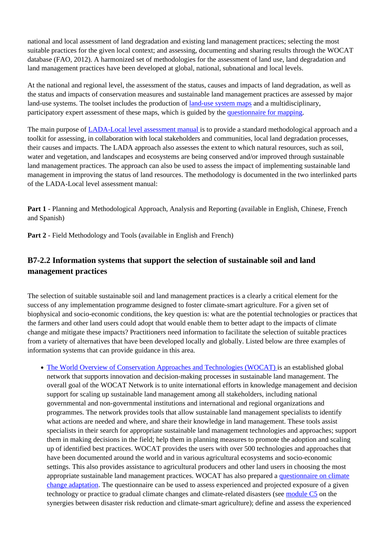national and local assessment of land degradation and existing land management practices; selecting the most suitable practices for the given local context; and assessing, documenting and sharing results through the WOCAT database (FAO, 2012). A harmonized set of methodologies for the assessment of land use, land degradation and land management practices have been developed at global, national, subnational and local levels.

At the national and regional level, the assessment of the status, causes and impacts of land degradation, as well as the status and impacts of conservation measures and sustainable land management practices are assessed by major land-use systems. The toolset includes the production of [land-use system maps](http://www.fao.org/nr/lada/index3783.html) and a multidisciplinary, participatory expert assessment of these maps, which is guided by the [questionnaire for mapping.](http://www.fao.org/publications/card/en/c/3e5cd44b-0c31-5df7-b420-2f9b1cebac8d/)

The main purpose of [LADA-Local level assessment manual i](http://www.fao.org/nr/lada/index3fb1.html)s to provide a standard methodological approach and a toolkit for assessing, in collaboration with local stakeholders and communities, local land degradation processes, their causes and impacts. The LADA approach also assesses the extent to which natural resources, such as soil, water and vegetation, and landscapes and ecosystems are being conserved and/or improved through sustainable land management practices. The approach can also be used to assess the impact of implementing sustainable land management in improving the status of land resources. The methodology is documented in the two interlinked parts of the LADA-Local level assessment manual:

**Part 1** - Planning and Methodological Approach, Analysis and Reporting (available in English, Chinese, French and Spanish)

**Part 2** - Field Methodology and Tools (available in English and French)

## **B7-2.2 Information systems that support the selection of sustainable soil and land management practices**

The selection of suitable sustainable soil and land management practices is a clearly a critical element for the success of any implementation programme designed to foster climate-smart agriculture. For a given set of biophysical and socio-economic conditions, the key question is: what are the potential technologies or practices that the farmers and other land users could adopt that would enable them to better adapt to the impacts of climate change and mitigate these impacts? Practitioners need information to facilitate the selection of suitable practices from a variety of alternatives that have been developed locally and globally. Listed below are three examples of information systems that can provide guidance in this area.

[The World Overview of Conservation Approaches and Technologies \(WOCAT\)](https://www.wocat.net/global-slm-database/wocat-tools-and-modules/modules) is an established global network that supports innovation and decision-making processes in sustainable land management. The overall goal of the WOCAT Network is to unite international efforts in knowledge management and decision support for scaling up sustainable land management among all stakeholders, including national governmental and non-governmental institutions and international and regional organizations and programmes. The network provides tools that allow sustainable land management specialists to identify what actions are needed and where, and share their knowledge in land management. These tools assist specialists in their search for appropriate sustainable land management technologies and approaches; support them in making decisions in the field; help them in planning measures to promote the adoption and scaling up of identified best practices. WOCAT provides the users with over 500 technologies and approaches that have been documented around the world and in various agricultural ecosystems and socio-economic settings. This also provides assistance to agricultural producers and other land users in choosing the most appropriate sustainable land management practices. WOCAT has also prepared a [questionnaire on climate](https://www.wocat.net/global-slm-database/wocat-tools-and-modules/modules) [change adaptation](https://www.wocat.net/global-slm-database/wocat-tools-and-modules/modules). The questionnaire can be used to assess experienced and projected exposure of a given technology or practice to gradual climate changes and climate-related disasters (see [module C5](http://www.fao.org/climate-smart-agriculture-sourcebook/enabling-frameworks/module-c5-climate-resilience/c5-overview/en/) on the synergies between disaster risk reduction and climate-smart agriculture); define and assess the experienced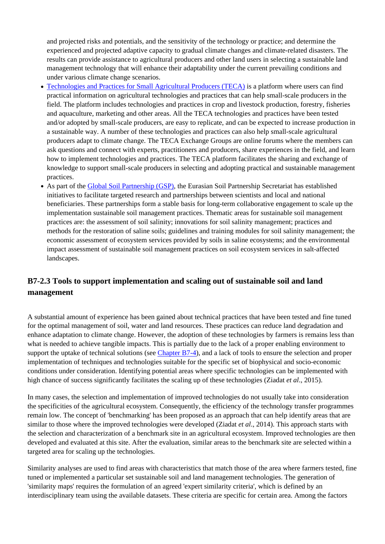and projected risks and potentials, and the sensitivity of the technology or practice; and determine the experienced and projected adaptive capacity to gradual climate changes and climate-related disasters. The results can provide assistance to agricultural producers and other land users in selecting a sustainable land management technology that will enhance their adaptability under the current prevailing conditions and under various climate change scenarios.

- [Technologies and Practices for Small Agricultural Producers \(TECA\)](http://www.fao.org/global-soil-partnership/en/) is a platform where users can find practical information on agricultural technologies and practices that can help small-scale producers in the field. The platform includes technologies and practices in crop and livestock production, forestry, fisheries and aquaculture, marketing and other areas. All the TECA technologies and practices have been tested and/or adopted by small-scale producers, are easy to replicate, and can be expected to increase production in a sustainable way. A number of these technologies and practices can also help small-scale agricultural producers adapt to climate change. The TECA Exchange Groups are online forums where the members can ask questions and connect with experts, practitioners and producers, share experiences in the field, and learn how to implement technologies and practices. The TECA platform facilitates the sharing and exchange of knowledge to support small-scale producers in selecting and adopting practical and sustainable management practices.
- As part of the [Global Soil Partnership \(GSP\),](http://www.fao.org/global-soil-partnership/en/) the Eurasian Soil Partnership Secretariat has established initiatives to facilitate targeted research and partnerships between scientists and local and national beneficiaries. These partnerships form a stable basis for long-term collaborative engagement to scale up the implementation sustainable soil management practices. Thematic areas for sustainable soil management practices are: the assessment of soil salinity; innovations for soil salinity management; practices and methods for the restoration of saline soils; guidelines and training modules for soil salinity management; the economic assessment of ecosystem services provided by soils in saline ecosystems; and the environmental impact assessment of sustainable soil management practices on soil ecosystem services in salt-affected landscapes.

# **B7-2.3 Tools to support implementation and scaling out of sustainable soil and land management**

A substantial amount of experience has been gained about technical practices that have been tested and fine tuned for the optimal management of soil, water and land resources. These practices can reduce land degradation and enhance adaptation to climate change. However, the adoption of these technologies by farmers is remains less than what is needed to achieve tangible impacts. This is partially due to the lack of a proper enabling environment to support the uptake of technical solutions (see [Chapter B7-4](http://www.fao.org/climate-smart-agriculture-sourcebook/production-resources/module-b7-soil/chapter-b7-4/en/)), and a lack of tools to ensure the selection and proper implementation of techniques and technologies suitable for the specific set of biophysical and socio-economic conditions under consideration. Identifying potential areas where specific technologies can be implemented with high chance of success significantly facilitates the scaling up of these technologies (Ziadat *et al*., 2015).

In many cases, the selection and implementation of improved technologies do not usually take into consideration the specificities of the agricultural ecosystem. Consequently, the efficiency of the technology transfer programmes remain low. The concept of 'benchmarking' has been proposed as an approach that can help identify areas that are similar to those where the improved technologies were developed (Ziadat *et al*., 2014). This approach starts with the selection and characterization of a benchmark site in an agricultural ecosystem. Improved technologies are then developed and evaluated at this site. After the evaluation, similar areas to the benchmark site are selected within a targeted area for scaling up the technologies.

Similarity analyses are used to find areas with characteristics that match those of the area where farmers tested, fine tuned or implemented a particular set sustainable soil and land management technologies. The generation of 'similarity maps' requires the formulation of an agreed 'expert similarity criteria', which is defined by an interdisciplinary team using the available datasets. These criteria are specific for certain area. Among the factors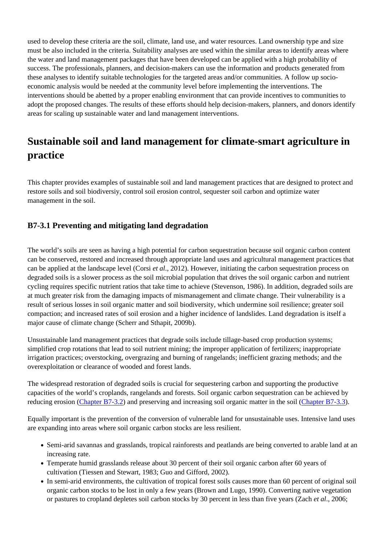used to develop these criteria are the soil, climate, land use, and water resources. Land ownership type and size must be also included in the criteria. Suitability analyses are used within the similar areas to identify areas where the water and land management packages that have been developed can be applied with a high probability of success. The professionals, planners, and decision-makers can use the information and products generated from these analyses to identify suitable technologies for the targeted areas and/or communities. A follow up socioeconomic analysis would be needed at the community level before implementing the interventions. The interventions should be abetted by a proper enabling environment that can provide incentives to communities to adopt the proposed changes. The results of these efforts should help decision-makers, planners, and donors identify areas for scaling up sustainable water and land management interventions.

# **Sustainable soil and land management for climate-smart agriculture in practice**

This chapter provides examples of sustainable soil and land management practices that are designed to protect and restore soils and soil biodiversiy, control soil erosion control, sequester soil carbon and optimize water management in the soil.

### **B7-3.1 Preventing and mitigating land degradation**

The world's soils are seen as having a high potential for carbon sequestration because soil organic carbon content can be conserved, restored and increased through appropriate land uses and agricultural management practices that can be applied at the landscape level (Corsi *et al*., 2012). However, initiating the carbon sequestration process on degraded soils is a slower process as the soil microbial population that drives the soil organic carbon and nutrient cycling requires specific nutrient ratios that take time to achieve (Stevenson, 1986). In addition, degraded soils are at much greater risk from the damaging impacts of mismanagement and climate change. Their vulnerability is a result of serious losses in soil organic matter and soil biodiversity, which undermine soil resilience; greater soil compaction; and increased rates of soil erosion and a higher incidence of landslides. Land degradation is itself a major cause of climate change (Scherr and Sthapit, 2009b).

Unsustainable land management practices that degrade soils include tillage-based crop production systems; simplified crop rotations that lead to soil nutrient mining; the improper application of fertilizers; inappropriate irrigation practices; overstocking, overgrazing and burning of rangelands; inefficient grazing methods; and the overexploitation or clearance of wooded and forest lands.

The widespread restoration of degraded soils is crucial for sequestering carbon and supporting the productive capacities of the world's croplands, rangelands and forests. Soil organic carbon sequestration can be achieved by reducing erosion ([Chapter B7-3.2](http://www.fao.org/climate-smart-agriculture-sourcebook/production-resources/module-b7-soil/chapter-b7-3/en/#c417195)) and preserving and increasing soil organic matter in the soil [\(Chapter B7-3.3](http://www.fao.org/climate-smart-agriculture-sourcebook/production-resources/module-b7-soil/chapter-b7-3/en/#c549056)).

Equally important is the prevention of the conversion of vulnerable land for unsustainable uses. Intensive land uses are expanding into areas where soil organic carbon stocks are less resilient.

- Semi-arid savannas and grasslands, tropical rainforests and peatlands are being converted to arable land at an increasing rate.
- Temperate humid grasslands release about 30 percent of their soil organic carbon after 60 years of cultivation (Tiessen and Stewart, 1983; Guo and Gifford, 2002).
- In semi-arid environments, the cultivation of tropical forest soils causes more than 60 percent of original soil organic carbon stocks to be lost in only a few years (Brown and Lugo, 1990). Converting native vegetation or pastures to cropland depletes soil carbon stocks by 30 percent in less than five years (Zach *et al*., 2006;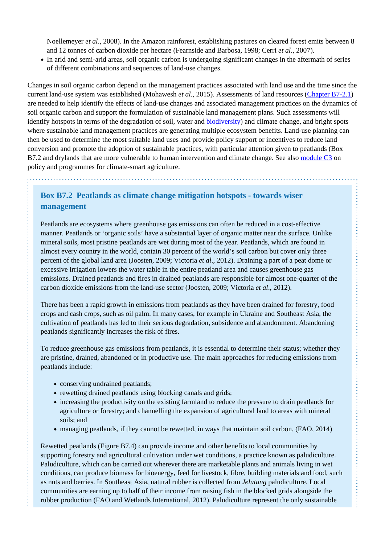Noellemeyer *et al*., 2008). In the Amazon rainforest, establishing pastures on cleared forest emits between 8 and 12 tonnes of carbon dioxide per hectare (Fearnside and Barbosa, 1998; Cerri *et al.*, 2007).

In arid and semi-arid areas, soil organic carbon is undergoing significant changes in the aftermath of series of different combinations and sequences of land-use changes.

Changes in soil organic carbon depend on the management practices associated with land use and the time since the current land-use system was established (Mohawesh *et al.*, 2015). Assessments of land resources [\(Chapter B7-2.1\)](http://www.fao.org/climate-smart-agriculture-sourcebook/production-resources/module-b7-soil/chapter-b7-2/en/#c549049) are needed to help identify the effects of land-use changes and associated management practices on the dynamics of soil organic carbon and support the formulation of sustainable land management plans. Such assessments will identify hotspots in terms of the degradation of soil, water and [biodiversity\)](http://www.fao.org/climate-smart-agriculture-sourcebook/production-resources/module-b1-crops/chapter-b1-2/en/#c548082) and climate change, and bright spots where sustainable land management practices are generating multiple ecosystem benefits. Land-use planning can then be used to determine the most suitable land uses and provide policy support or incentives to reduce land conversion and promote the adoption of sustainable practices, with particular attention given to peatlands (Box B7.2 and drylands that are more vulnerable to human intervention and climate change. See also [module C3](http://www.fao.org/climate-smart-agriculture-sourcebook/enabling-frameworks/module-c3-policy/c3-overview/en/) on policy and programmes for climate-smart agriculture.

## **Box B7.2 Peatlands as climate change mitigation hotspots - towards wiser management**

Peatlands are ecosystems where greenhouse gas emissions can often be reduced in a cost-effective manner. Peatlands or 'organic soils' have a substantial layer of organic matter near the surface. Unlike mineral soils, most pristine peatlands are wet during most of the year. Peatlands, which are found in almost every country in the world, contain 30 percent of the world's soil carbon but cover only three percent of the global land area (Joosten, 2009; Victoria *et al*., 2012). Draining a part of a peat dome or excessive irrigation lowers the water table in the entire peatland area and causes greenhouse gas emissions. Drained peatlands and fires in drained peatlands are responsible for almost one-quarter of the carbon dioxide emissions from the land-use sector (Joosten, 2009; Victoria *et al*., 2012).

There has been a rapid growth in emissions from peatlands as they have been drained for forestry, food crops and cash crops, such as oil palm. In many cases, for example in Ukraine and Southeast Asia, the cultivation of peatlands has led to their serious degradation, subsidence and abandonment. Abandoning peatlands significantly increases the risk of fires.

To reduce greenhouse gas emissions from peatlands, it is essential to determine their status; whether they are pristine, drained, abandoned or in productive use. The main approaches for reducing emissions from peatlands include:

• conserving undrained peatlands;

- rewetting drained peatlands using blocking canals and grids;
- increasing the productivity on the existing farmland to reduce the pressure to drain peatlands for agriculture or forestry; and channelling the expansion of agricultural land to areas with mineral soils; and
- managing peatlands, if they cannot be rewetted, in ways that maintain soil carbon. (FAO, 2014)

Rewetted peatlands (Figure B7.4) can provide income and other benefits to local communities by supporting forestry and agricultural cultivation under wet conditions, a practice known as paludiculture. Paludiculture, which can be carried out wherever there are marketable plants and animals living in wet conditions, can produce biomass for bioenergy, feed for livestock, fibre, building materials and food, such as nuts and berries. In Southeast Asia, natural rubber is collected from *Jelutung* paludiculture. Local communities are earning up to half of their income from raising fish in the blocked grids alongside the rubber production (FAO and Wetlands International, 2012). Paludiculture represent the only sustainable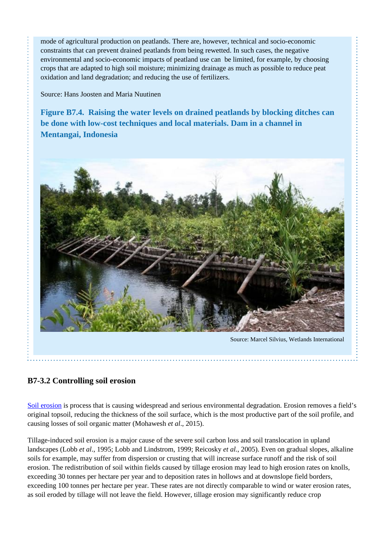mode of agricultural production on peatlands. There are, however, technical and socio-economic constraints that can prevent drained peatlands from being rewetted. In such cases, the negative environmental and socio-economic impacts of peatland use can be limited, for example, by choosing crops that are adapted to high soil moisture; minimizing drainage as much as possible to reduce peat oxidation and land degradation; and reducing the use of fertilizers.

Source: Hans Joosten and Maria Nuutinen

**Figure B7.4. Raising the water levels on drained peatlands by blocking ditches can be done with low-cost techniques and local materials. Dam in a channel in Mentangai, Indonesia** 



### **B7-3.2 Controlling soil erosion**

[Soil erosion](http://www.fao.org/climate-smart-agriculture-sourcebook/production-resources/module-b1-crops/chapter-b1-2/en/#c418948) is process that is causing widespread and serious environmental degradation. Erosion removes a field's original topsoil, reducing the thickness of the soil surface, which is the most productive part of the soil profile, and causing losses of soil organic matter (Mohawesh *et al*., 2015).

Tillage-induced soil erosion is a major cause of the severe soil carbon loss and soil translocation in upland landscapes (Lobb *et al*., 1995; Lobb and Lindstrom, 1999; Reicosky *et al.*, 2005). Even on gradual slopes, alkaline soils for example, may suffer from dispersion or crusting that will increase surface runoff and the risk of soil erosion. The redistribution of soil within fields caused by tillage erosion may lead to high erosion rates on knolls, exceeding 30 tonnes per hectare per year and to deposition rates in hollows and at downslope field borders, exceeding 100 tonnes per hectare per year. These rates are not directly comparable to wind or water erosion rates, as soil eroded by tillage will not leave the field. However, tillage erosion may significantly reduce crop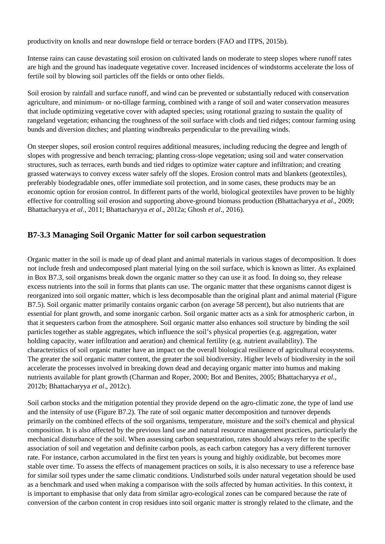productivity on knolls and near downslope field or terrace borders (FAO and ITPS, 2015b).

Intense rains can cause devastating soil erosion on cultivated lands on moderate to steep slopes where runoff rates are high and the ground has inadequate vegetative cover. Increased incidences of windstorms accelerate the loss of fertile soil by blowing soil particles off the fields or onto other fields.

Soil erosion by rainfall and surface runoff, and wind can be prevented or substantially reduced with conservation agriculture, and minimum- or no-tillage farming, combined with a range of soil and water conservation measures that include optimizing vegetative cover with adapted species; using rotational grazing to sustain the quality of rangeland vegetation; enhancing the roughness of the soil surface with clods and tied ridges; contour farming using bunds and diversion ditches; and planting windbreaks perpendicular to the prevailing winds.

On steeper slopes, soil erosion control requires additional measures, including reducing the degree and length of slopes with progressive and bench terracing; planting cross-slope vegetation; using soil and water conservation structures, such as terraces, earth bunds and tied ridges to optimize water capture and infiltration; and creating grassed waterways to convey excess water safely off the slopes. Erosion control mats and blankets (geotextiles), preferably biodegradable ones, offer immediate soil protection, and in some cases, these products may be an economic option for erosion control. In different parts of the world, biological geotextiles have proven to be highly effective for controlling soil erosion and supporting above-ground biomass production (Bhattacharyya *et al*., 2009; Bhattacharyya *et al*., 2011; Bhattacharyya *et al*., 2012a; Ghosh *et al*., 2016).

### **B7-3.3 Managing Soil Organic Matter for soil carbon sequestration**

Organic matter in the soil is made up of dead plant and animal materials in various stages of decomposition. It does not include fresh and undecomposed plant material lying on the soil surface, which is known as litter. As explained in Box B7.3, soil organisms break down the organic matter so they can use it as food. In doing so, they release excess nutrients into the soil in forms that plants can use. The organic matter that these organisms cannot digest is reorganized into soil organic matter, which is less decomposable than the original plant and animal material (Figure B7.5). Soil organic matter primarily contains organic carbon (on average 58 percent), but also nutrients that are essential for plant growth, and some inorganic carbon. Soil organic matter acts as a sink for atmospheric carbon, in that it sequesters carbon from the atmosphere. Soil organic matter also enhances soil structure by binding the soil particles together as stable aggregates, which influence the soil's physical properties (e.g. aggregation, water holding capacity, water infiltration and aeration) and chemical fertility (e.g. nutrient availability). The characteristics of soil organic matter have an impact on the overall biological resilience of agricultural ecosystems. The greater the soil organic matter content, the greater the soil biodiversity. Higher levels of biodiversity in the soil accelerate the processes involved in breaking down dead and decaying organic matter into humus and making nutrients available for plant growth (Charman and Roper, 2000; Bot and Benites, 2005; Bhattacharyya *et al*., 2012b; Bhattacharyya *et al*., 2012c).

Soil carbon stocks and the mitigation potential they provide depend on the agro-climatic zone, the type of land use and the intensity of use (Figure B7.2). The rate of soil organic matter decomposition and turnover depends primarily on the combined effects of the soil organisms, temperature, moisture and the soil's chemical and physical composition. It is also affected by the previous land use and natural resource management practices, particularly the mechanical disturbance of the soil. When assessing carbon sequestration, rates should always refer to the specific association of soil and vegetation and definite carbon pools, as each carbon category has a very different turnover rate. For instance, carbon accumulated in the first ten years is young and highly oxidizable, but becomes more stable over time. To assess the effects of management practices on soils, it is also necessary to use a reference base for similar soil types under the same climatic conditions. Undisturbed soils under natural vegetation should be used as a benchmark and used when making a comparison with the soils affected by human activities. In this context, it is important to emphasise that only data from similar agro-ecological zones can be compared because the rate of conversion of the carbon content in crop residues into soil organic matter is strongly related to the climate, and the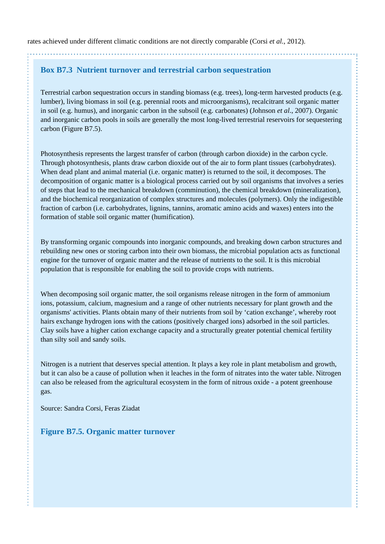rates achieved under different climatic conditions are not directly comparable (Corsi *et al.*, 2012).

### **Box B7.3 Nutrient turnover and terrestrial carbon sequestration**

Terrestrial carbon sequestration occurs in standing biomass (e.g. trees), long-term harvested products (e.g. lumber), living biomass in soil (e.g. perennial roots and microorganisms), recalcitrant soil organic matter in soil (e.g. humus), and inorganic carbon in the subsoil (e.g. carbonates) (Johnson *et al*., 2007). Organic and inorganic carbon pools in soils are generally the most long-lived terrestrial reservoirs for sequestering carbon (Figure B7.5).

Photosynthesis represents the largest transfer of carbon (through carbon dioxide) in the carbon cycle. Through photosynthesis, plants draw carbon dioxide out of the air to form plant tissues (carbohydrates). When dead plant and animal material (i.e. organic matter) is returned to the soil, it decomposes. The decomposition of organic matter is a biological process carried out by soil organisms that involves a series of steps that lead to the mechanical breakdown (comminution), the chemical breakdown (mineralization), and the biochemical reorganization of complex structures and molecules (polymers). Only the indigestible fraction of carbon (i.e. carbohydrates, lignins, tannins, aromatic amino acids and waxes) enters into the formation of stable soil organic matter (humification).

By transforming organic compounds into inorganic compounds, and breaking down carbon structures and rebuilding new ones or storing carbon into their own biomass, the microbial population acts as functional engine for the turnover of organic matter and the release of nutrients to the soil. It is this microbial population that is responsible for enabling the soil to provide crops with nutrients.

When decomposing soil organic matter, the soil organisms release nitrogen in the form of ammonium ions, potassium, calcium, magnesium and a range of other nutrients necessary for plant growth and the organisms' activities. Plants obtain many of their nutrients from soil by 'cation exchange', whereby root hairs exchange hydrogen ions with the cations (positively charged ions) adsorbed in the soil particles. Clay soils have a higher cation exchange capacity and a structurally greater potential chemical fertility than silty soil and sandy soils.

Nitrogen is a nutrient that deserves special attention. It plays a key role in plant metabolism and growth, but it can also be a cause of pollution when it leaches in the form of nitrates into the water table. Nitrogen can also be released from the agricultural ecosystem in the form of nitrous oxide - a potent greenhouse gas.

Source: Sandra Corsi, Feras Ziadat

#### **Figure B7.5. Organic matter turnover**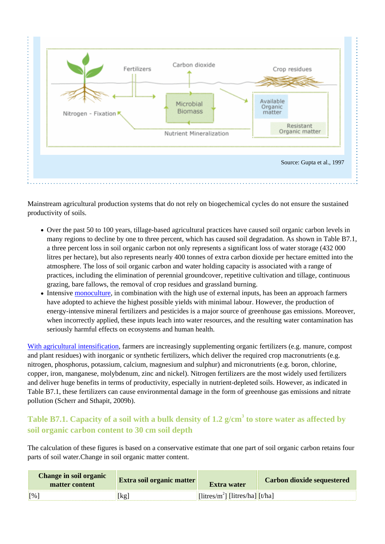

Mainstream agricultural production systems that do not rely on biogechemical cycles do not ensure the sustained productivity of soils.

- Over the past 50 to 100 years, tillage-based agricultural practices have caused soil organic carbon levels in many regions to decline by one to three percent, which has caused soil degradation. As shown in Table B7.1, a three percent loss in soil organic carbon not only represents a significant loss of water storage (432 000 litres per hectare), but also represents nearly 400 tonnes of extra carbon dioxide per hectare emitted into the atmosphere. The loss of soil organic carbon and water holding capacity is associated with a range of practices, including the elimination of perennial groundcover, repetitive cultivation and tillage, continuous grazing, bare fallows, the removal of crop residues and grassland burning.
- Intensive [monoculture](http://www.fao.org/climate-smart-agriculture-sourcebook/production-resources/module-b1-crops/chapter-b1-1/en/#c548046), in combination with the high use of external inputs, has been an approach farmers have adopted to achieve the highest possible yields with minimal labour. However, the production of energy-intensive mineral fertilizers and pesticides is a major source of greenhouse gas emissions. Moreover, when incorrectly applied, these inputs leach into water resources, and the resulting water contamination has seriously harmful effects on ecosystems and human health.

[With agricultural intensification,](http://www.fao.org/climate-smart-agriculture-sourcebook/production-resources/module-b1-crops/chapter-b1-1/en/#c548046) farmers are increasingly supplementing organic fertilizers (e.g. manure, compost and plant residues) with inorganic or synthetic fertilizers, which deliver the required crop macronutrients (e.g. nitrogen, phosphorus, potassium, calcium, magnesium and sulphur) and micronutrients (e.g. boron, chlorine, copper, iron, manganese, molybdenum, zinc and nickel). Nitrogen fertilizers are the most widely used fertilizers and deliver huge benefits in terms of productivity, especially in nutrient-depleted soils. However, as indicated in Table B7.1, these fertilizers can cause environmental damage in the form of greenhouse gas emissions and nitrate pollution (Scherr and Sthapit, 2009b).

## **Table B7.1. Capacity of a soil with a bulk density of 1.2 g/cm<sup>3</sup> to store water as affected by soil organic carbon content to 30 cm soil depth**

The calculation of these figures is based on a conservative estimate that one part of soil organic carbon retains four parts of soil water.Change in soil organic matter content.

| <b>Change in soil organic</b><br>matter content | <b>Extra soil organic matter</b> | Extra water                                                     | <b>Carbon dioxide sequestered</b> |
|-------------------------------------------------|----------------------------------|-----------------------------------------------------------------|-----------------------------------|
| $\mathbb{F}^{06}$                               |                                  | $\left[\frac{1}{\text{litres}}/m^2\right]$ [litres/ha] $[t/ha]$ |                                   |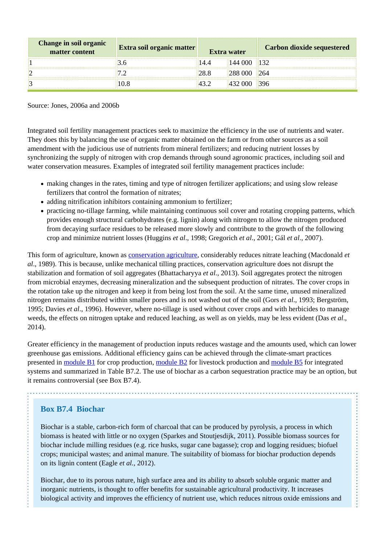| Change in soil organic<br>matter content | Extra soil organic matter | Extra water | <b>Carbon dioxide sequestered</b> |
|------------------------------------------|---------------------------|-------------|-----------------------------------|
|                                          |                           |             |                                   |
|                                          |                           |             |                                   |
|                                          |                           |             |                                   |

Source: Jones, 2006a and 2006b

Integrated soil fertility management practices seek to maximize the efficiency in the use of nutrients and water. They does this by balancing the use of organic matter obtained on the farm or from other sources as a soil amendment with the judicious use of nutrients from mineral fertilizers; and reducing nutrient losses by synchronizing the supply of nitrogen with crop demands through sound agronomic practices, including soil and water conservation measures. Examples of integrated soil fertility management practices include:

- making changes in the rates, timing and type of nitrogen fertilizer applications; and using slow release fertilizers that control the formation of nitrates;
- adding nitrification inhibitors containing ammonium to fertilizer;
- practicing no-tillage farming, while maintaining continuous soil cover and rotating cropping patterns, which provides enough structural carbohydrates (e.g. lignin) along with nitrogen to allow the nitrogen produced from decaying surface residues to be released more slowly and contribute to the growth of the following crop and minimize nutrient losses (Huggins *et al*., 1998; Gregorich *et al*., 2001; Gál *et al*., 2007).

This form of agriculture, known as [conservation agriculture](http://www.fao.org/climate-smart-agriculture-sourcebook/production-resources/module-b1-crops/chapter-b1-2/en/#c558062), considerably reduces nitrate leaching (Macdonald *et al*., 1989). This is because, unlike mechanical tilling practices, conservation agriculture does not disrupt the stabilization and formation of soil aggregates (Bhattacharyya *et al*., 2013). Soil aggregates protect the nitrogen from microbial enzymes, decreasing mineralization and the subsequent production of nitrates. The cover crops in the rotation take up the nitrogen and keep it from being lost from the soil. At the same time, unused mineralized nitrogen remains distributed within smaller pores and is not washed out of the soil (Gors *et al*., 1993; Bergström, 1995; Davies *et al*., 1996). However, where no-tillage is used without cover crops and with herbicides to manage weeds, the effects on nitrogen uptake and reduced leaching, as well as on yields, may be less evident (Das *et al*., 2014).

Greater efficiency in the management of production inputs reduces wastage and the amounts used, which can lower greenhouse gas emissions. Additional efficiency gains can be achieved through the climate-smart practices presented in [module B1](http://www.fao.org/climate-smart-agriculture-sourcebook/production-resources/module-b1-crops/b1-overview/en/) for crop production, [module B2](http://www.fao.org/climate-smart-agriculture-sourcebook/production-resources/module-b2-livestock/b2-overview/en/) for livestock production and [module B5](http://www.fao.org/climate-smart-agriculture-sourcebook/production-resources/module-b5-integrated-production-systems/b5-overview/en/) for integrated systems and summarized in Table B7.2. The use of biochar as a carbon sequestration practice may be an option, but it remains controversial (see Box B7.4).

### **Box B7.4 Biochar**

Biochar is a stable, carbon-rich form of charcoal that can be produced by pyrolysis, a process in which biomass is heated with little or no oxygen (Sparkes and Stoutjesdijk, 2011). Possible biomass sources for biochar include milling residues (e.g. rice husks, sugar cane bagasse); crop and logging residues; biofuel crops; municipal wastes; and animal manure. The suitability of biomass for biochar production depends on its lignin content (Eagle *et al.*, 2012).

Biochar, due to its porous nature, high surface area and its ability to absorb soluble organic matter and inorganic nutrients, is thought to offer benefits for sustainable agricultural productivity. It increases biological activity and improves the efficiency of nutrient use, which reduces nitrous oxide emissions and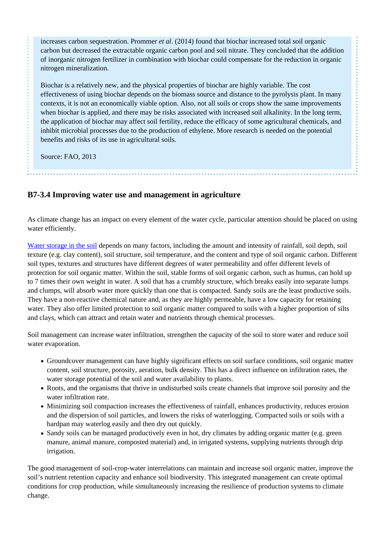increases carbon sequestration. Prommer *et al*. (2014) found that biochar increased total soil organic carbon but decreased the extractable organic carbon pool and soil nitrate. They concluded that the addition of inorganic nitrogen fertilizer in combination with biochar could compensate for the reduction in organic nitrogen mineralization.

Biochar is a relatively new, and the physical properties of biochar are highly variable. The cost effectiveness of using biochar depends on the biomass source and distance to the pyrolysis plant. In many contexts, it is not an economically viable option. Also, not all soils or crops show the same improvements when biochar is applied, and there may be risks associated with increased soil alkalinity. In the long term, the application of biochar may affect soil fertility, reduce the efficacy of some agricultural chemicals, and inhibit microbial processes due to the production of ethylene. More research is needed on the potential benefits and risks of its use in agricultural soils.

Source: FAO, 2013

### **B7-3.4 Improving water use and management in agriculture**

As climate change has an impact on every element of the water cycle, particular attention should be placed on using water efficiently.

[Water storage in the soil](http://www.fao.org/climate-smart-agriculture-sourcebook/production-resources/module-b1-crops/chapter-b1-3/en/#c548632) depends on many factors, including the amount and intensity of rainfall, soil depth, soil texture (e.g. clay content), soil structure, soil temperature, and the content and type of soil organic carbon. Different soil types, textures and structures have different degrees of water permeability and offer different levels of protection for soil organic matter. Within the soil, stable forms of soil organic carbon, such as humus, can hold up to 7 times their own weight in water. A soil that has a crumbly structure, which breaks easily into separate lumps and clumps, will absorb water more quickly than one that is compacted. Sandy soils are the least productive soils. They have a non-reactive chemical nature and, as they are highly permeable, have a low capacity for retaining water. They also offer limited protection to soil organic matter compared to soils with a higher proportion of silts and clays, which can attract and retain water and nutrients through chemical processes.

Soil management can increase water infiltration, strengthen the capacity of the soil to store water and reduce soil water evaporation.

- Groundcover management can have highly significant effects on soil surface conditions, soil organic matter content, soil structure, porosity, aeration, bulk density. This has a direct influence on infiltration rates, the water storage potential of the soil and water availability to plants.
- Roots, and the organisms that thrive in undisturbed soils create channels that improve soil porosity and the water infiltration rate.
- Minimizing soil compaction increases the effectiveness of rainfall, enhances productivity, reduces erosion and the dispersion of soil particles, and lowers the risks of waterlogging. Compacted soils or soils with a hardpan may waterlog easily and then dry out quickly.
- Sandy soils can be managed productively even in hot, dry climates by adding organic matter (e.g. green manure, animal manure, composted material) and, in irrigated systems, supplying nutrients through drip irrigation.

The good management of soil-crop-water interrelations can maintain and increase soil organic matter, improve the soil's nutrient retention capacity and enhance soil biodiversity. This integrated management can create optimal conditions for crop production, while simultaneously increasing the resilience of production systems to climate change.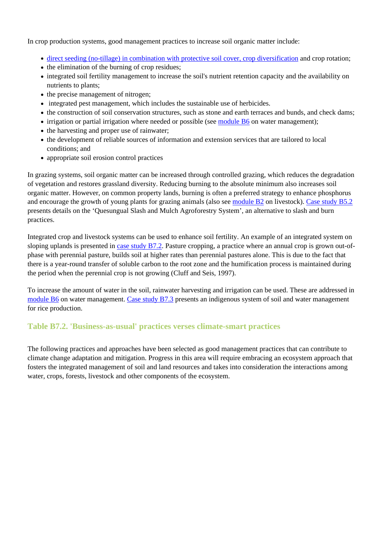In crop production systems, good management practices to increase soil organic matter include:

- [direct seeding \(no-tillage\) in combination with protective soil cover, crop diversification](http://www.fao.org/climate-smart-agriculture-sourcebook/production-resources/module-b1-crops/chapter-b1-2/en/#c558062) and crop rotation;
- the elimination of the burning of crop residues;
- integrated soil fertility management to increase the soil's nutrient retention capacity and the availability on nutrients to plants;
- the precise management of nitrogen;
- integrated pest management, which includes the sustainable use of herbicides.
- the construction of soil conservation structures, such as stone and earth terraces and bunds, and check dams;
- irrigation or partial irrigation where needed or possible (see [module B6](http://www.fao.org/climate-smart-agriculture-sourcebook/production-resources/module-b6-water/b6-overview/en/) on water management);
- the harvesting and proper use of rainwater;
- the development of reliable sources of information and extension services that are tailored to local conditions; and
- appropriate soil erosion control practices

In grazing systems, soil organic matter can be increased through controlled grazing, which reduces the degradation of vegetation and restores grassland diversity. Reducing burning to the absolute minimum also increases soil organic matter. However, on common property lands, burning is often a preferred strategy to enhance phosphorus and encourage the growth of young plants for grazing animals (also see [module B2](http://www.fao.org/climate-smart-agriculture-sourcebook/production-resources/module-b2-livestock/b2-overview/en/) on livestock). [Case study B5.2](http://www.fao.org/climate-smart-agriculture-sourcebook/production-resources/module-b5-integrated-production-systems/b5-case-studies/case-study-b5-2/en/) presents details on the 'Quesungual Slash and Mulch Agroforestry System', an alternative to slash and burn practices.

Integrated crop and livestock systems can be used to enhance soil fertility. An example of an integrated system on sloping uplands is presented in [case study B7.2](http://www.fao.org/climate-smart-agriculture-sourcebook/production-resources/module-b7-soil/b7-case-studies/case-study-b7-2/en/). Pasture cropping, a practice where an annual crop is grown out-ofphase with perennial pasture, builds soil at higher rates than perennial pastures alone. This is due to the fact that there is a year-round transfer of soluble carbon to the root zone and the humification process is maintained during the period when the perennial crop is not growing (Cluff and Seis, 1997).

To increase the amount of water in the soil, rainwater harvesting and irrigation can be used. These are addressed in [module B6](http://www.fao.org/climate-smart-agriculture-sourcebook/production-resources/module-b6-water/b6-overview/en/) on water management. [Case study B7.3](http://www.fao.org/climate-smart-agriculture-sourcebook/production-resources/module-b7-soil/b7-case-studies/case-study-b7-3/en/) presents an indigenous system of soil and water management for rice production.

#### **Table B7.2. 'Business-as-usual' practices verses climate-smart practices**

The following practices and approaches have been selected as good management practices that can contribute to climate change adaptation and mitigation. Progress in this area will require embracing an ecosystem approach that fosters the integrated management of soil and land resources and takes into consideration the interactions among water, crops, forests, livestock and other components of the ecosystem.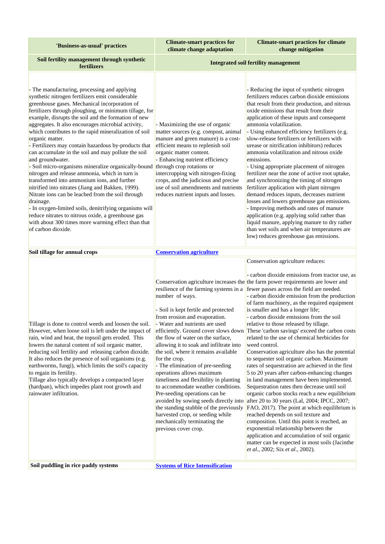| 'Business-as-usual' practices                                                                                                                                                                                                                                                                                                                                                                                                                                                                                                                                                                                                                                                                                                                                                                                                                                                                                                                                                                                                              | <b>Climate-smart practices for</b><br>climate change adaptation                                                                                                                                                                                                                                                                                                                                                                                                                                                                                                                                                                     | <b>Climate-smart practices for climate</b><br>change mitigation                                                                                                                                                                                                                                                                                                                                                                                                                                                                                                                                                                                                                                                                                                                                                                                                                                                                                                                                                                                                                                                                                                                                                                                                                                                                                                                                                 |
|--------------------------------------------------------------------------------------------------------------------------------------------------------------------------------------------------------------------------------------------------------------------------------------------------------------------------------------------------------------------------------------------------------------------------------------------------------------------------------------------------------------------------------------------------------------------------------------------------------------------------------------------------------------------------------------------------------------------------------------------------------------------------------------------------------------------------------------------------------------------------------------------------------------------------------------------------------------------------------------------------------------------------------------------|-------------------------------------------------------------------------------------------------------------------------------------------------------------------------------------------------------------------------------------------------------------------------------------------------------------------------------------------------------------------------------------------------------------------------------------------------------------------------------------------------------------------------------------------------------------------------------------------------------------------------------------|-----------------------------------------------------------------------------------------------------------------------------------------------------------------------------------------------------------------------------------------------------------------------------------------------------------------------------------------------------------------------------------------------------------------------------------------------------------------------------------------------------------------------------------------------------------------------------------------------------------------------------------------------------------------------------------------------------------------------------------------------------------------------------------------------------------------------------------------------------------------------------------------------------------------------------------------------------------------------------------------------------------------------------------------------------------------------------------------------------------------------------------------------------------------------------------------------------------------------------------------------------------------------------------------------------------------------------------------------------------------------------------------------------------------|
| Soil fertility management through synthetic<br>fertilizers                                                                                                                                                                                                                                                                                                                                                                                                                                                                                                                                                                                                                                                                                                                                                                                                                                                                                                                                                                                 | <b>Integrated soil fertility management</b>                                                                                                                                                                                                                                                                                                                                                                                                                                                                                                                                                                                         |                                                                                                                                                                                                                                                                                                                                                                                                                                                                                                                                                                                                                                                                                                                                                                                                                                                                                                                                                                                                                                                                                                                                                                                                                                                                                                                                                                                                                 |
| - The manufacturing, processing and applying<br>synthetic nitrogen fertilizers emit considerable<br>greenhouse gases. Mechanical incorporation of<br>fertilizers through ploughing, or minimum tillage, for<br>example, disrupts the soil and the formation of new<br>aggregates. It also encourages microbial activity,<br>which contributes to the rapid mineralization of soil<br>organic matter.<br>Fertilizers may contain hazardous by-products that<br>can accumulate in the soil and may pollute the soil<br>and groundwater.<br>- Soil micro-organisms mineralize organically-bound through crop rotations or<br>nitrogen and release ammonia, which in turn is<br>transformed into ammonium ions, and further<br>nitrified into nitrates (Jiang and Bakken, 1999).<br>Nitrate ions can be leached from the soil through<br>drainage.<br>- In oxygen-limited soils, denitrifying organisms will<br>reduce nitrates to nitrous oxide, a greenhouse gas<br>with about 300 times more warming effect than that<br>of carbon dioxide. | - Maximizing the use of organic<br>matter sources (e.g. compost, animal<br>manure and green manure) is a cost-<br>efficient means to replenish soil<br>organic matter content.<br>- Enhancing nutrient efficiency<br>intercropping with nitrogen-fixing<br>crops, and the judicious and precise<br>use of soil amendments and nutrients<br>reduces nutrient inputs and losses.                                                                                                                                                                                                                                                      | - Reducing the input of synthetic nitrogen<br>fertilizers reduces carbon dioxide emissions<br>that result from their production, and nitrous<br>oxide emissions that result from their<br>application of these inputs and consequent<br>ammonia volatilization.<br>- Using enhanced efficiency fertilizers (e.g.<br>slow-release fertilizers or fertilizers with<br>urease or nitrification inhibitors) reduces<br>ammonia volatilization and nitrous oxide<br>emissions.<br>- Using appropriate placement of nitrogen<br>fertilizer near the zone of active root uptake,<br>and synchronizing the timing of nitrogen<br>fertilizer application with plant nitrogen<br>demand reduces inputs, decreases nutrient<br>losses and lowers greenhouse gas emissions.<br>- Improving methods and rates of manure<br>application (e.g. applying solid rather than<br>liquid manure, applying manure to dry rather<br>than wet soils and when air temperatures are<br>low) reduces greenhouse gas emissions.                                                                                                                                                                                                                                                                                                                                                                                                            |
| Soil tillage for annual crops                                                                                                                                                                                                                                                                                                                                                                                                                                                                                                                                                                                                                                                                                                                                                                                                                                                                                                                                                                                                              | <b>Conservation agriculture</b>                                                                                                                                                                                                                                                                                                                                                                                                                                                                                                                                                                                                     |                                                                                                                                                                                                                                                                                                                                                                                                                                                                                                                                                                                                                                                                                                                                                                                                                                                                                                                                                                                                                                                                                                                                                                                                                                                                                                                                                                                                                 |
| Tillage is done to control weeds and loosen the soil.<br>However, when loose soil is left under the impact of<br>rain, wind and heat, the topsoil gets eroded. This<br>lowers the natural content of soil organic matter,<br>reducing soil fertility and releasing carbon dioxide.<br>It also reduces the presence of soil organisms (e.g.<br>earthworms, fungi), which limits the soil's capacity<br>to regain its fertility.<br>Tillage also typically develops a compacted layer<br>(hardpan), which impedes plant root growth and<br>rainwater infiltration.<br>Soil puddling in rice paddy systems                                                                                                                                                                                                                                                                                                                                                                                                                                    | number of ways.<br>- Soil is kept fertile and protected<br>from erosion and evaporation.<br>Water and nutrients are used<br>the flow of water on the surface,<br>allowing it to soak and infiltrate into<br>the soil, where it remains available<br>for the crop.<br>- The elimination of pre-seeding<br>operations allows maximum<br>timeliness and flexibility in planting<br>to accommodate weather conditions.<br>Pre-seeding operations can be<br>the standing stubble of the previously<br>harvested crop, or seeding while<br>mechanically terminating the<br>previous cover crop.<br><b>Systems of Rice Intensification</b> | Conservation agriculture reduces:<br>- carbon dioxide emissions from tractor use, as<br>Conservation agriculture increases the the farm power requirements are lower and<br>resilience of the farming systems in a fewer passes across the field are needed.<br>- carbon dioxide emission from the production<br>of farm machinery, as the required equipment<br>is smaller and has a longer life;<br>- carbon dioxide emissions from the soil<br>relative to those released by tillage.<br>efficiently. Ground cover slows down These 'carbon savings' exceed the carbon costs<br>related to the use of chemical herbicides for<br>weed control.<br>Conservation agriculture also has the potential<br>to sequester soil organic carbon. Maximum<br>rates of sequestration are achieved in the first<br>5 to 20 years after carbon-enhancing changes<br>in land management have been implemented.<br>Sequestration rates then decrease until soil<br>organic carbon stocks reach a new equilibrium<br>avoided by sowing seeds directly into after 20 to 30 years (Lal, 2004; IPCC, 2007;<br>FAO, 2017). The point at which equilibrium is<br>reached depends on soil texture and<br>composition. Until this point is reached, an<br>exponential relationship between the<br>application and accumulation of soil organic<br>matter can be expected in most soils (Jacinthe<br>et al., 2002; Six et al., 2002). |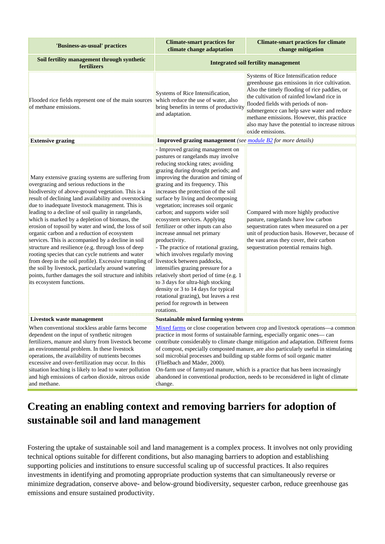| 'Business-as-usual' practices                                                                                                                                                                                                                                                                                                                                                                                                                                                                                                                                                                                                                                                                                                                                                                                                                                                                                                      | <b>Climate-smart practices for</b><br>climate change adaptation                                                                                                                                                                                                                                                                                                                                                                                                                                                                                                                                                                                                                                                                                                                                    | <b>Climate-smart practices for climate</b><br>change mitigation                                                                                                                                                                                                                                                                                                                                |  |
|------------------------------------------------------------------------------------------------------------------------------------------------------------------------------------------------------------------------------------------------------------------------------------------------------------------------------------------------------------------------------------------------------------------------------------------------------------------------------------------------------------------------------------------------------------------------------------------------------------------------------------------------------------------------------------------------------------------------------------------------------------------------------------------------------------------------------------------------------------------------------------------------------------------------------------|----------------------------------------------------------------------------------------------------------------------------------------------------------------------------------------------------------------------------------------------------------------------------------------------------------------------------------------------------------------------------------------------------------------------------------------------------------------------------------------------------------------------------------------------------------------------------------------------------------------------------------------------------------------------------------------------------------------------------------------------------------------------------------------------------|------------------------------------------------------------------------------------------------------------------------------------------------------------------------------------------------------------------------------------------------------------------------------------------------------------------------------------------------------------------------------------------------|--|
| Soil fertility management through synthetic<br>fertilizers                                                                                                                                                                                                                                                                                                                                                                                                                                                                                                                                                                                                                                                                                                                                                                                                                                                                         | <b>Integrated soil fertility management</b>                                                                                                                                                                                                                                                                                                                                                                                                                                                                                                                                                                                                                                                                                                                                                        |                                                                                                                                                                                                                                                                                                                                                                                                |  |
| Flooded rice fields represent one of the main sources which reduce the use of water, also<br>of methane emissions.                                                                                                                                                                                                                                                                                                                                                                                                                                                                                                                                                                                                                                                                                                                                                                                                                 | Systems of Rice Intensification,<br>bring benefits in terms of productivity<br>and adaptation.                                                                                                                                                                                                                                                                                                                                                                                                                                                                                                                                                                                                                                                                                                     | Systems of Rice Intensification reduce<br>greenhouse gas emissions in rice cultivation.<br>Also the timely flooding of rice paddies, or<br>the cultivation of rainfed lowland rice in<br>flooded fields with periods of non-<br>submergence can help save water and reduce<br>methane emissions. However, this practice<br>also may have the potential to increase nitrous<br>oxide emissions. |  |
| <b>Extensive grazing</b>                                                                                                                                                                                                                                                                                                                                                                                                                                                                                                                                                                                                                                                                                                                                                                                                                                                                                                           | <b>Improved grazing management</b> (see module B2 for more details)                                                                                                                                                                                                                                                                                                                                                                                                                                                                                                                                                                                                                                                                                                                                |                                                                                                                                                                                                                                                                                                                                                                                                |  |
| Many extensive grazing systems are suffering from<br>overgrazing and serious reductions in the<br>biodiversity of above-ground vegetation. This is a<br>result of declining land availability and overstocking<br>due to inadequate livestock management. This is<br>leading to a decline of soil quality in rangelands,<br>which is marked by a depletion of biomass, the<br>erosion of topsoil by water and wind, the loss of soil<br>organic carbon and a reduction of ecosystem<br>services. This is accompanied by a decline in soil<br>structure and resilience (e.g. through loss of deep<br>rooting species that can cycle nutrients and water<br>from deep in the soil profile). Excessive trampling of livestock between paddocks,<br>the soil by livestock, particularly around watering<br>points, further damages the soil structure and inhibits relatively short period of time (e.g. 1<br>its ecosystem functions. | - Improved grazing management on<br>pastures or rangelands may involve<br>reducing stocking rates; avoiding<br>grazing during drought periods; and<br>improving the duration and timing of<br>grazing and its frequency. This<br>increases the protection of the soil<br>surface by living and decomposing<br>vegetation; increases soil organic<br>carbon; and supports wider soil<br>ecosystem services. Applying<br>fertilizer or other inputs can also<br>increase annual net primary<br>productivity.<br>- The practice of rotational grazing,<br>which involves regularly moving<br>intensifies grazing pressure for a<br>to 3 days for ultra-high stocking<br>density or 3 to 14 days for typical<br>rotational grazing), but leaves a rest<br>period for regrowth in between<br>rotations. | Compared with more highly productive<br>pasture, rangelands have low carbon<br>sequestration rates when measured on a per<br>unit of production basis. However, because of<br>the vast areas they cover, their carbon<br>sequestration potential remains high.                                                                                                                                 |  |
| Livestock waste management                                                                                                                                                                                                                                                                                                                                                                                                                                                                                                                                                                                                                                                                                                                                                                                                                                                                                                         | Sustainable mixed farming systems                                                                                                                                                                                                                                                                                                                                                                                                                                                                                                                                                                                                                                                                                                                                                                  |                                                                                                                                                                                                                                                                                                                                                                                                |  |
| When conventional stockless arable farms become<br>dependent on the input of synthetic nitrogen<br>fertilizers, manure and slurry from livestock become<br>an environmental problem. In these livestock<br>operations, the availability of nutrients becomes<br>excessive and over-fertilization may occur. In this<br>situation leaching is likely to lead to water pollution<br>and high emissions of carbon dioxide, nitrous oxide<br>and methane.                                                                                                                                                                                                                                                                                                                                                                                                                                                                              | Mixed farms or close cooperation between crop and livestock operations—a common<br>practice in most forms of sustainable farming, especially organic ones—can<br>contribute considerably to climate change mitigation and adaptation. Different forms<br>of compost, especially composted manure, are also particularly useful in stimulating<br>soil microbial processes and building up stable forms of soil organic matter<br>Fließbach and Mäder, 2000).<br>On-farm use of farmyard manure, which is a practice that has been increasingly<br>abandoned in conventional production, needs to be reconsidered in light of climate<br>change.                                                                                                                                                    |                                                                                                                                                                                                                                                                                                                                                                                                |  |

# **Creating an enabling context and removing barriers for adoption of sustainable soil and land management**

Fostering the uptake of sustainable soil and land management is a complex process. It involves not only providing technical options suitable for different conditions, but also managing barriers to adoption and establishing supporting policies and institutions to ensure successful scaling up of successful practices. It also requires investments in identifying and promoting appropriate production systems that can simultaneously reverse or minimize degradation, conserve above- and below-ground biodiversity, sequester carbon, reduce greenhouse gas emissions and ensure sustained productivity.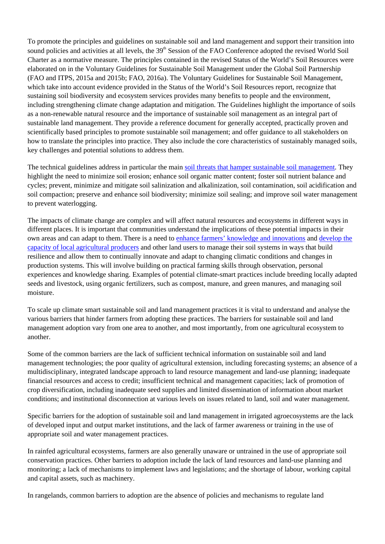To promote the principles and guidelines on sustainable soil and land management and support their transition into sound policies and activities at all levels, the 39<sup>th</sup> Session of the FAO Conference adopted the revised World Soil Charter as a normative measure. The principles contained in the revised Status of the World's Soil Resources were elaborated on in the Voluntary Guidelines for Sustainable Soil Management under the Global Soil Partnership (FAO and ITPS, 2015a and 2015b; FAO, 2016a). The Voluntary Guidelines for Sustainable Soil Management, which take into account evidence provided in the Status of the World's Soil Resources report, recognize that sustaining soil biodiversity and ecosystem services provides many benefits to people and the environment, including strengthening climate change adaptation and mitigation. The Guidelines highlight the importance of soils as a non-renewable natural resource and the importance of sustainable soil management as an integral part of sustainable land management. They provide a reference document for generally accepted, practically proven and scientifically based principles to promote sustainable soil management; and offer guidance to all stakeholders on how to translate the principles into practice. They also include the core characteristics of sustainably managed soils, key challenges and potential solutions to address them.

The technical guidelines address in particular the main [soil threats that hamper sustainable soil management.](http://www.fao.org/climate-smart-agriculture-sourcebook/production-resources/module-b1-crops/chapter-b1-2/en/) They highlight the need to minimize soil erosion; enhance soil organic matter content; foster soil nutrient balance and cycles; prevent, minimize and mitigate soil salinization and alkalinization, soil contamination, soil acidification and soil compaction; preserve and enhance soil biodiversity; minimize soil sealing; and improve soil water management to prevent waterlogging.

The impacts of climate change are complex and will affect natural resources and ecosystems in different ways in different places. It is important that communities understand the implications of these potential impacts in their own areas and can adapt to them. There is a need to [enhance farmers' knowledge and innovations](http://www.fao.org/climate-smart-agriculture-sourcebook/enabling-frameworks/module-c2-supporting-rural-producers/c2-overview/en/) and [develop the](http://www.fao.org/climate-smart-agriculture-sourcebook/enabling-frameworks/module-c1-capacity-development/c1-overview/en/) [capacity of local agricultural producers](http://www.fao.org/climate-smart-agriculture-sourcebook/enabling-frameworks/module-c1-capacity-development/c1-overview/en/) and other land users to manage their soil systems in ways that build resilience and allow them to continually innovate and adapt to changing climatic conditions and changes in production systems. This will involve building on practical farming skills through observation, personal experiences and knowledge sharing. Examples of potential climate-smart practices include breeding locally adapted seeds and livestock, using organic fertilizers, such as compost, manure, and green manures, and managing soil moisture.

To scale up climate smart sustainable soil and land management practices it is vital to understand and analyse the various barriers that hinder farmers from adopting these practices. The barriers for sustainable soil and land management adoption vary from one area to another, and most importantly, from one agricultural ecosystem to another.

Some of the common barriers are the lack of sufficient technical information on sustainable soil and land management technologies; the poor quality of agricultural extension, including forecasting systems; an absence of a multidisciplinary, integrated landscape approach to land resource management and land-use planning; inadequate financial resources and access to credit; insufficient technical and management capacities; lack of promotion of crop diversification, including inadequate seed supplies and limited dissemination of information about market conditions; and institutional disconnection at various levels on issues related to land, soil and water management.

Specific barriers for the adoption of sustainable soil and land management in irrigated agroecosystems are the lack of developed input and output market institutions, and the lack of farmer awareness or training in the use of appropriate soil and water management practices.

In rainfed agricultural ecosystems, farmers are also generally unaware or untrained in the use of appropriate soil conservation practices. Other barriers to adoption include the lack of land resources and land-use planning and monitoring; a lack of mechanisms to implement laws and legislations; and the shortage of labour, working capital and capital assets, such as machinery.

In rangelands, common barriers to adoption are the absence of policies and mechanisms to regulate land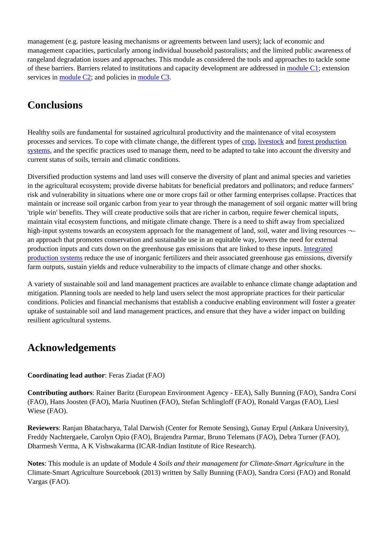management (e.g. pasture leasing mechanisms or agreements between land users); lack of economic and management capacities, particularly among individual household pastoralists; and the limited public awareness of rangeland degradation issues and approaches. This module as considered the tools and approaches to tackle some of these barriers. Barriers related to institutions and capacity development are addressed in [module C1;](http://www.fao.org/climate-smart-agriculture-sourcebook/enabling-frameworks/module-c1-capacity-development/c1-overview/en/) extension services in [module C2;](http://www.fao.org/climate-smart-agriculture-sourcebook/enabling-frameworks/module-c2-supporting-rural-producers/c2-overview/en/) and policies in [module C3.](http://www.fao.org/climate-smart-agriculture-sourcebook/enabling-frameworks/module-c3-policy/c3-overview/en/)

# **Conclusions**

Healthy soils are fundamental for sustained agricultural productivity and the maintenance of vital ecosystem processes and services. To cope with climate change, the different types of [crop,](http://www.fao.org/climate-smart-agriculture-sourcebook/production-resources/module-b1-crops/b1-overview/en/) [livestock](http://www.fao.org/climate-smart-agriculture-sourcebook/production-resources/module-b2-livestock/b2-overview/en/) and [forest production](http://www.fao.org/climate-smart-agriculture-sourcebook/production-resources/module-b3-forestry/b3-overview/en/) [systems](http://www.fao.org/climate-smart-agriculture-sourcebook/production-resources/module-b3-forestry/b3-overview/en/), and the specific practices used to manage them, need to be adapted to take into account the diversity and current status of soils, terrain and climatic conditions.

Diversified production systems and land uses will conserve the diversity of plant and animal species and varieties in the agricultural ecosystem; provide diverse habitats for beneficial predators and pollinators; and reduce farmers' risk and vulnerability in situations where one or more crops fail or other farming enterprises collapse. Practices that maintain or increase soil organic carbon from year to year through the management of soil organic matter will bring 'triple win' benefits. They will create productive soils that are richer in carbon, require fewer chemical inputs, maintain vital ecosystem functions, and mitigate climate change. There is a need to shift away from specialized high-input systems towards an ecosystem approach for the management of land, soil, water and living resources  $\neg$ an approach that promotes conservation and sustainable use in an equitable way, lowers the need for external production inputs and cuts down on the greenhouse gas emissions that are linked to these inputs. [Integrated](http://www.fao.org/climate-smart-agriculture-sourcebook/production-resources/module-b5-integrated-production-systems/b5-overview/en/) [production systems](http://www.fao.org/climate-smart-agriculture-sourcebook/production-resources/module-b5-integrated-production-systems/b5-overview/en/) reduce the use of inorganic fertilizers and their associated greenhouse gas emissions, diversify farm outputs, sustain yields and reduce vulnerability to the impacts of climate change and other shocks.

A variety of sustainable soil and land management practices are available to enhance climate change adaptation and mitigation. Planning tools are needed to help land users select the most appropriate practices for their particular conditions. Policies and financial mechanisms that establish a conducive enabling environment will foster a greater uptake of sustainable soil and land management practices, and ensure that they have a wider impact on building resilient agricultural systems.

# **Acknowledgements**

#### **Coordinating lead author**: Feras Ziadat (FAO)

**Contributing authors**: Rainer Baritz (European Environment Agency - EEA), Sally Bunning (FAO), Sandra Corsi (FAO), Hans Joosten (FAO), Maria Nuutinen (FAO), Stefan Schlingloff (FAO), Ronald Vargas (FAO), Liesl Wiese (FAO).

**Reviewers**: Ranjan Bhatacharya, Talal Darwish (Center for Remote Sensing), Gunay Erpul (Ankara University), Freddy Nachtergaele, Carolyn Opio (FAO), Brajendra Parmar, Bruno Telemans (FAO), Debra Turner (FAO), Dharmesh Verma, A K Vishwakarma (ICAR-Indian Institute of Rice Research).

**Notes**: This module is an update of Module 4 *Soils and their management for Climate-Smart Agriculture* in the Climate-Smart Agriculture Sourcebook (2013) written by Sally Bunning (FAO), Sandra Corsi (FAO) and Ronald Vargas (FAO).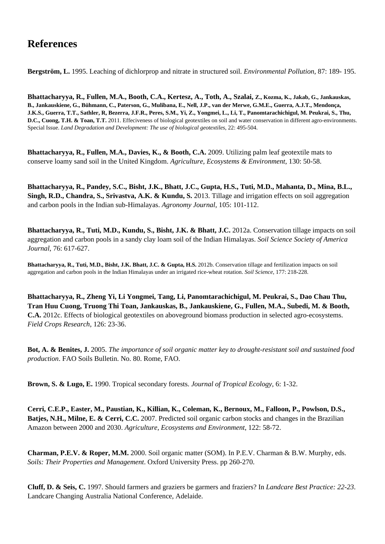# **References**

**Bergström, L.** 1995. Leaching of dichlorprop and nitrate in structured soil. *Environmental Pollution*, 87: 189- 195.

**Bhattacharyya, R., Fullen, M.A., Booth, C.A., Kertesz, A., Toth, A., Szalai, Z., Kozma, K., Jakab, G., Jankauskas, B., Jankauskiene, G., Bühmann, C., Paterson, G., Mulibana, E., Nell, J.P., van der Merwe, G.M.E., Guerra, A.J.T., Mendonça, J.K.S., Guerra, T.T., Sathler, R, Bezerra, J.F.R., Peres, S.M., Yi, Z., Yongmei, L., Li, T., Panomtarachichigul, M. Peukrai, S., Thu, D.C., Cuong, T.H. & Toan, T.T.** 2011. Effeciveness of biological geotextiles on soil and water conservation in different agro-environments. Special Issue. *Land Degradation and Development: The use of biological geotextiles*, 22: 495-504.

**Bhattacharyya, R., Fullen, M.A., Davies, K., & Booth, C.A.** 2009. Utilizing palm leaf geotextile mats to conserve loamy sand soil in the United Kingdom. *Agriculture, Ecosystems & Environment*, 130: 50-58.

**Bhattacharyya, R., Pandey, S.C., Bisht, J.K., Bhatt, J.C., Gupta, H.S., Tuti, M.D., Mahanta, D., Mina, B.L., Singh, R.D., Chandra, S., Srivastva, A.K. & Kundu, S.** 2013. Tillage and irrigation effects on soil aggregation and carbon pools in the Indian sub-Himalayas. *Agronomy Journal*, 105: 101-112.

**Bhattacharyya, R., Tuti, M.D., Kundu, S., Bisht, J.K. & Bhatt, J.C.** 2012a. Conservation tillage impacts on soil aggregation and carbon pools in a sandy clay loam soil of the Indian Himalayas. *Soil Science Society of America Journal*, 76: 617-627.

**Bhattacharyya, R., Tuti, M.D., Bisht, J.K. Bhatt, J.C. & Gupta, H.S.** 2012b. Conservation tillage and fertilization impacts on soil aggregation and carbon pools in the Indian Himalayas under an irrigated rice-wheat rotation. *Soil Science*, 177: 218-228.

**Bhattacharyya, R., Zheng Yi, Li Yongmei, Tang, Li, Panomtarachichigul, M. Peukrai, S., Dao Chau Thu, Tran Huu Cuong, Truong Thi Toan, Jankauskas, B., Jankauskiene, G., Fullen, M.A., Subedi, M. & Booth, C.A.** 2012c. Effects of biological geotextiles on aboveground biomass production in selected agro-ecosystems. *Field Crops Research*, 126: 23-36.

**Bot, A. & Benites, J.** 2005. *The importance of soil organic matter key to drought-resistant soil and sustained food production*. FAO Soils Bulletin. No. 80. Rome, FAO.

**Brown, S. & Lugo, E.** 1990. Tropical secondary forests. *Journal of Tropical Ecology*, 6: 1-32.

**Cerri, C.E.P., Easter, M., Paustian, K., Killian, K., Coleman, K., Bernoux, M., Falloon, P., Powlson, D.S., Batjes, N.H., Milne, E. & Cerri, C.C.** 2007. Predicted soil organic carbon stocks and changes in the Brazilian Amazon between 2000 and 2030. *Agriculture, Ecosystems and Environment*, 122: 58-72.

**Charman, P.E.V. & Roper, M.M.** 2000. Soil organic matter (SOM). In P.E.V. Charman & B.W. Murphy, eds. *Soils: Their Properties and Management*. Oxford University Press. pp 260-270.

**Cluff, D. & Seis, C.** 1997. Should farmers and graziers be garmers and fraziers? In *Landcare Best Practice: 22-23*. Landcare Changing Australia National Conference, Adelaide.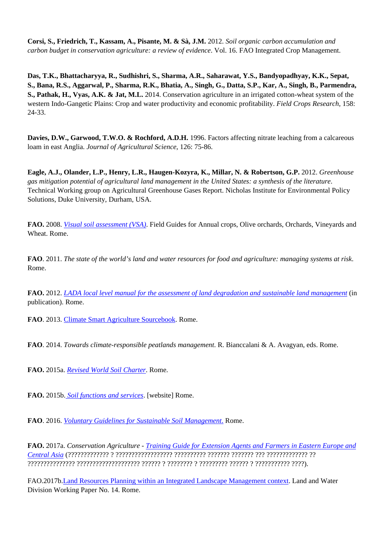**Corsi, S., Friedrich, T., Kassam, A., Pisante, M. & Sà, J.M.** 2012. *Soil organic carbon accumulation and carbon budget in conservation agriculture: a review of evidence*. Vol. 16. FAO Integrated Crop Management.

**Das, T.K., Bhattacharyya, R., Sudhishri, S., Sharma, A.R., Saharawat, Y.S., Bandyopadhyay, K.K., Sepat, S., Bana, R.S., Aggarwal, P., Sharma, R.K., Bhatia, A., Singh, G., Datta, S.P., Kar, A., Singh, B., Parmendra, S., Pathak, H., Vyas, A.K. & Jat, M.L.** 2014. Conservation agriculture in an irrigated cotton-wheat system of the western Indo-Gangetic Plains: Crop and water productivity and economic profitability. *Field Crops Research*, 158: 24-33.

**Davies, D.W., Garwood, T.W.O. & Rochford, A.D.H.** 1996. Factors affecting nitrate leaching from a calcareous loam in east Anglia. *Journal of Agricultural Science*, 126: 75-86.

**Eagle, A.J., Olander, L.P., Henry, L.R., Haugen-Kozyra, K., Millar, N. & Robertson, G.P.** 2012. *Greenhouse gas mitigation potential of agricultural land management in the United States: a synthesis of the literature*. Technical Working group on Agricultural Greenhouse Gases Report. Nicholas Institute for Environmental Policy Solutions, Duke University, Durham, USA.

**FAO.** 2008. *[Visual soil assessment \(VSA\)](http://www.fao.org/docrep/010/i0007e/i0007e00.htm)*. Field Guides for Annual crops, Olive orchards, Orchards, Vineyards and Wheat. Rome.

**FAO**. 2011. *The state of the world's land and water resources for food and agriculture: managing systems at risk*. Rome.

**FAO.** 2012. *[LADA local level manual for the assessment of land degradation and sustainable land management](http://www.fao.org/nr/lada/index.php?option=com_content&view=article&id=152&Itemid=168&lang=en)* (in publication). Rome.

**FAO**. 2013. [Climate Smart Agriculture Sourcebook](http://www.fao.org/docrep/018/i3325e/i3325e.pdf). Rome.

**FAO**. 2014. *Towards climate-responsible peatlands management*. R. Bianccalani & A. Avagyan, eds. Rome.

**FAO.** 2015a. *[Revised World Soil Charter](http://www.fao.org/3/a-i4965e.pdf)*. Rome.

**FAO.** 2015b[.](http://www.fao.org/resources/infographics/infographics-details/en/c/284478/) *[Soil functions and services](http://www.fao.org/resources/infographics/infographics-details/en/c/284478/)*. [website] Rome.

**FAO**. 2016. *[Voluntary Guidelines for Sustainable Soil Management](http://www.fao.org/3/a-bl813e.pdf)*[.](http://www.fao.org/3/a-bl813e.pdf) Rome.

**FAO.** 2017a. *Conservation Agriculture - [Training Guide for Extension Agents and Farmers in Eastern Europe and](http://www.fao.org/3/a-i7154r.pdf) [Central Asia](http://www.fao.org/3/a-i7154r.pdf)* (????????????? ? ?????????????????? ?????????? ??????? ??????? ??? ????????????? ?? ??????????????? ???????????????????? ?????? ? ???????? ? ????????? ?????? ? ??????????? ????).

FAO.2017b.[Land Resources Planning within an Integrated Landscape Management context](http://www.fao.org/3/a-i5937e.pdf). Land and Water Division Working Paper No. 14. Rome.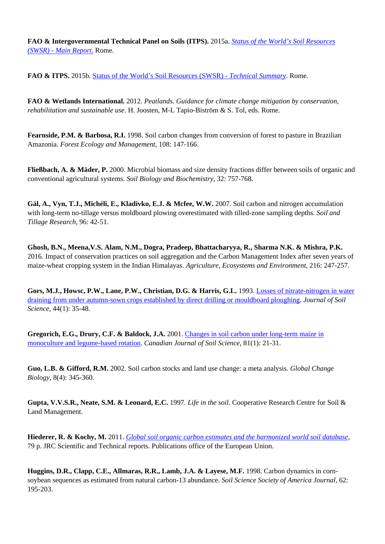**FAO & Intergovernmental Technical Panel on Soils (ITPS).** 2015a. *[Status of the World's Soil Resources](http://www.fao.org/3/a-i5199e.pdf) [\(SWSR\) - Main Report](http://www.fao.org/3/a-i5199e.pdf)*[.](http://www.fao.org/3/a-i5199e.pdf) Rome.

**FAO & ITPS.** 2015b. [Status of the World's Soil Resources \(SWSR\) -](http://www.fao.org/3/a-i5126e.pdf) *[Technical Summary](http://www.fao.org/3/a-i5126e.pdf)*. Rome.

**FAO & Wetlands International.** 2012. *Peatlands. Guidance for climate change mitigation by conservation, rehabilitation and sustainable use*. H. Joosten, M-L Tapio-Biström & S. Tol, eds. Rome.

**Fearnside, P.M. & Barbosa, R.I.** 1998. Soil carbon changes from conversion of forest to pasture in Brazilian Amazonia. *Forest Ecology and Management*, 108: 147-166.

**Fließbach, A. & Mäder, P.** 2000. Microbial biomass and size density fractions differ between soils of organic and conventional agricultural systems. *Soil Biology and Biochemistry*, 32: 757-768.

**Gál, A., Vyn, T.J., Michéli, E., Kladivko, E.J. & Mcfee, W.W.** 2007. Soil carbon and nitrogen accumulation with long-term no-tillage versus moldboard plowing overestimated with tilled-zone sampling depths. *Soil and Tillage Research*, 96: 42-51.

**Ghosh, B.N., Meena,V.S. Alam, N.M., Dogra, Pradeep, Bhattacharyya, R., Sharma N.K. & Mishra, P.K.** 2016. Impact of conservation practices on soil aggregation and the Carbon Management Index after seven years of maize-wheat cropping system in the Indian Himalayas. *Agriculture, Ecosystems and Environment*, 216: 247-257.

**Gors, M.J., Howsc, P.W., Lane, P.W., Christian, D.G. & Harris, G.L.** 1993. [Losses of nitrate-nitrogen in water](http://onlinelibrary.wiley.com/doi/10.1111/j.1365-2389.1993.tb00432.x/abstract) [draining from under autumn-sown crops established by direct drilling or mouldboard ploughing.](http://onlinelibrary.wiley.com/doi/10.1111/j.1365-2389.1993.tb00432.x/abstract) *Journal of Soil Science*, 44(1): 35-48.

**Gregorich, E.G., Drury, C.F. & Baldock, J.A.** 2001. [Changes in soil carbon under long-term maize in](http://pubs.aic.ca/doi/) [monoculture and legume-based rotation.](http://pubs.aic.ca/doi/) *Canadian Journal of Soil Science*, 81(1): 21-31.

**Guo, L.B. & Gifford, R.M.** 2002. Soil carbon stocks and land use change: a meta analysis. *Global Change Biology*, 8(4): 345-360.

**Gupta, V.V.S.R., Neate, S.M. & Leonard, E.C.** 1997. *Life in the soil*. Cooperative Research Centre for Soil & Land Management.

**Hiederer, R. & Kochy, M.** 2011. *[Global soil organic carbon estimates and the harmonized world soil database](http://eusoils.jrc.ec.europa.eu/esdb_archive/eusoils_docs/other/EUR25225.pdf)*, 79 p. JRC Scientific and Technical reports. Publications office of the European Union.

**Huggins, D.R., Clapp, C.E., Allmaras, R.R., Lamb, J.A. & Layese, M.F.** 1998. Carbon dynamics in cornsoybean sequences as estimated from natural carbon-13 abundance. *Soil Science Society of America Journal*, 62: 195-203.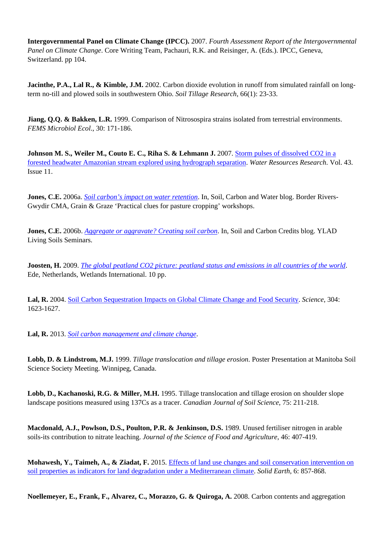**Intergovernmental Panel on Climate Change (IPCC).** 2007. *Fourth Assessment Report of the Intergovernmental Panel on Climate Change*. Core Writing Team, Pachauri, R.K. and Reisinger, A. (Eds.). IPCC, Geneva, Switzerland. pp 104.

**Jacinthe, P.A., Lal R., & Kimble, J.M.** 2002. Carbon dioxide evolution in runoff from simulated rainfall on longterm no-till and plowed soils in southwestern Ohio. *Soil Tillage Research*, 66(1): 23-33.

**Jiang, Q.Q. & Bakken, L.R.** 1999. Comparison of Nitrosospira strains isolated from terrestrial environments. *FEMS Microbiol Ecol*., 30: 171-186.

**Johnson M. S., Weiler M., Couto E. C., Riha S. & Lehmann J.** 2007. [Storm pulses of dissolved CO2 in a](http://www-test.fao.org/http://doi:10.1029/2007WR006359) [forested headwater Amazonian stream explored using hydrograph separation.](http://www-test.fao.org/http://doi:10.1029/2007WR006359) *Water Resources Research*. Vol. 43. Issue 11.

**Jones, C.E.** 2006a. *[Soil carbon's impact on water retention](http://soilcarbonwater.)*. In, Soil, Carbon and Water blog. Border Rivers-Gwydir CMA, Grain & Graze 'Practical clues for pasture cropping' workshops.

**Jones, C.E.** 2006b. *[Aggregate or aggravate? Creating soil carbon](http://soilcarboncredits.blogspot.it/2006_03_01_archive.html)*. In, Soil and Carbon Credits blog. YLAD Living Soils Seminars.

**Joosten, H.** 2009. *[The global peatland CO2 picture: peatland status and emissions in all countries of the world](http://tinyurl.com/yaqn5ya)*. Ede, Netherlands, Wetlands International. 10 pp.

**Lal, R.** 2004. [Soil Carbon Sequestration Impacts on Global Climate Change and Food Security.](http://www.sciencemag.org/content/304/5677/1623.abstract) *Science*, 304: 1623-1627.

**Lal, R.** 2013. *[Soil carbon management and climate change](http://dx.doi.org/10.4155/cmt.13.31)*.

**Lobb, D. & Lindstrom, M.J.** 1999. *Tillage translocation and tillage erosion*. Poster Presentation at Manitoba Soil Science Society Meeting. Winnipeg, Canada.

Lobb, D., Kachanoski, R.G. & Miller, M.H. 1995. Tillage translocation and tillage erosion on shoulder slope landscape positions measured using 137Cs as a tracer. *Canadian Journal of Soil Science*, 75: 211-218.

**Macdonald, A.J., Powlson, D.S., Poulton, P.R. & Jenkinson, D.S.** 1989. Unused fertiliser nitrogen in arable soils-its contribution to nitrate leaching. *Journal of the Science of Food and Agriculture*, 46: 407-419.

**Mohawesh, Y., Taimeh, A., & Ziadat, F.** 2015. [Effects of land use changes and soil conservation intervention on](http://www.solid-earth.net/6/857/2015/se-6-857-2015.html) [soil properties as indicators for land degradation under a Mediterranean climate.](http://www.solid-earth.net/6/857/2015/se-6-857-2015.html) *Solid Earth*, 6: 857-868.

**Noellemeyer, E., Frank, F., Alvarez, C., Morazzo, G. & Quiroga, A.** 2008. Carbon contents and aggregation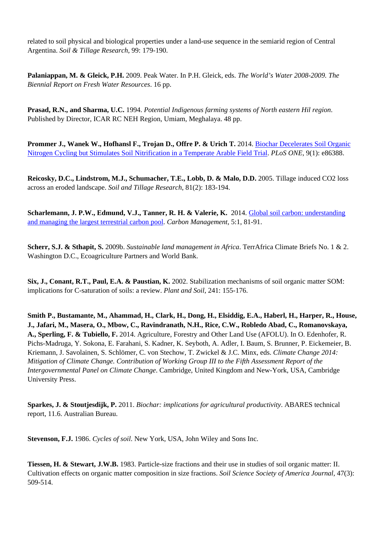related to soil physical and biological properties under a land-use sequence in the semiarid region of Central Argentina. *Soil & Tillage Research*, 99: 179-190.

**Palaniappan, M. & Gleick, P.H.** 2009. Peak Water. In P.H. Gleick, eds. *The World's Water 2008-2009. The Biennial Report on Fresh Water Resources*. 16 pp.

**Prasad, R.N., and Sharma, U.C.** 1994. *Potential Indigenous farming systems of North eastern Hil region*. Published by Director, ICAR RC NEH Region, Umiam, Meghalaya. 48 pp.

**Prommer J., Wanek W., Hofhansl F., Trojan D., Offre P. & Urich T. 2014. [Biochar Decelerates Soil Organic](http://www-test.fao.org/http://doi:10.1371/journal.pone.0086388)** [Nitrogen Cycling but Stimulates Soil Nitrification in a Temperate Arable Field Trial.](http://www-test.fao.org/http://doi:10.1371/journal.pone.0086388) *PLoS ONE*, 9(1): e86388.

**Reicosky, D.C., Lindstrom, M.J., Schumacher, T.E., Lobb, D. & Malo, D.D.** 2005. Tillage induced CO2 loss across an eroded landscape. *Soil and Tillage Research*, 81(2): 183-194.

**Scharlemann, J. P.W., Edmund, V.J., Tanner, R. H. & Valerie, K.** 2014. [Global soil carbon: understanding](http://www.tandfonline.com/doi/abs/10.4155/cmt.13.77) [and managing the largest terrestrial carbon pool.](http://www.tandfonline.com/doi/abs/10.4155/cmt.13.77) *Carbon Management*, 5:1, 81-91.

**Scherr, S.J. & Sthapit, S.** 2009b. *Sustainable land management in Africa*. TerrAfrica Climate Briefs No. 1 & 2. Washington D.C., Ecoagriculture Partners and World Bank.

**Six, J., Conant, R.T., Paul, E.A. & Paustian, K.** 2002. Stabilization mechanisms of soil organic matter SOM: implications for C-saturation of soils: a review. *Plant and Soil*, 241: 155-176.

**Smith P., Bustamante, M., Ahammad, H., Clark, H., Dong, H., Elsiddig, E.A., Haberl, H., Harper, R., House, J., Jafari, M., Masera, O., Mbow, C., Ravindranath, N.H., Rice, C.W., Robledo Abad, C., Romanovskaya, A., Sperling, F. & Tubiello, F.** 2014. Agriculture, Forestry and Other Land Use (AFOLU). In O. Edenhofer, R. Pichs-Madruga, Y. Sokona, E. Farahani, S. Kadner, K. Seyboth, A. Adler, I. Baum, S. Brunner, P. Eickemeier, B. Kriemann, J. Savolainen, S. Schlömer, C. von Stechow, T. Zwickel & J.C. Minx, eds. *Climate Change 2014: Mitigation of Climate Change. Contribution of Working Group III to the Fifth Assessment Report of the Intergovernmental Panel on Climate Change*. Cambridge, United Kingdom and New-York, USA, Cambridge University Press.

**Sparkes, J. & Stoutjesdijk, P.** 2011. *Biochar: implications for agricultural productivity*. ABARES technical report, 11.6. Australian Bureau.

**Stevenson, F.J.** 1986. *Cycles of soil*. New York, USA, John Wiley and Sons Inc.

**Tiessen, H. & Stewart, J.W.B.** 1983. Particle-size fractions and their use in studies of soil organic matter: II. Cultivation effects on organic matter composition in size fractions. *Soil Science Society of America Journal*, 47(3): 509-514.